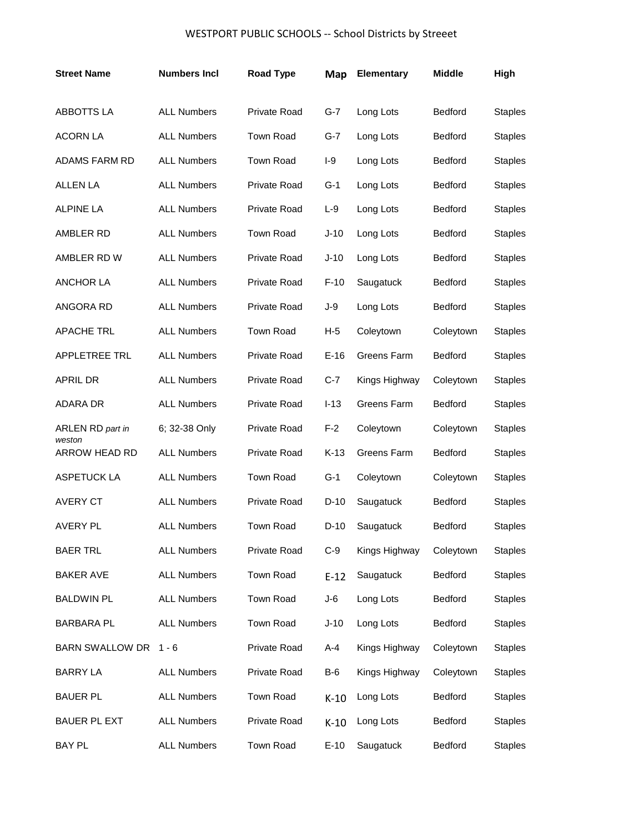| <b>Street Name</b>         | <b>Numbers Incl</b> | <b>Road Type</b>    | Map    | <b>Elementary</b> | <b>Middle</b>  | High           |
|----------------------------|---------------------|---------------------|--------|-------------------|----------------|----------------|
| <b>ABBOTTS LA</b>          | <b>ALL Numbers</b>  | Private Road        | $G-7$  | Long Lots         | <b>Bedford</b> | <b>Staples</b> |
| <b>ACORN LA</b>            | <b>ALL Numbers</b>  | Town Road           | $G-7$  | Long Lots         | <b>Bedford</b> | <b>Staples</b> |
| ADAMS FARM RD              | <b>ALL Numbers</b>  | <b>Town Road</b>    | $I-9$  | Long Lots         | <b>Bedford</b> | <b>Staples</b> |
| <b>ALLEN LA</b>            | <b>ALL Numbers</b>  | Private Road        | $G-1$  | Long Lots         | <b>Bedford</b> | <b>Staples</b> |
| <b>ALPINE LA</b>           | <b>ALL Numbers</b>  | <b>Private Road</b> | $L-9$  | Long Lots         | Bedford        | <b>Staples</b> |
| AMBLER RD                  | <b>ALL Numbers</b>  | <b>Town Road</b>    | $J-10$ | Long Lots         | <b>Bedford</b> | <b>Staples</b> |
| AMBLER RD W                | <b>ALL Numbers</b>  | <b>Private Road</b> | $J-10$ | Long Lots         | <b>Bedford</b> | <b>Staples</b> |
| <b>ANCHOR LA</b>           | <b>ALL Numbers</b>  | Private Road        | $F-10$ | Saugatuck         | <b>Bedford</b> | <b>Staples</b> |
| ANGORA RD                  | <b>ALL Numbers</b>  | <b>Private Road</b> | $J-9$  | Long Lots         | <b>Bedford</b> | <b>Staples</b> |
| <b>APACHE TRL</b>          | <b>ALL Numbers</b>  | <b>Town Road</b>    | $H-5$  | Coleytown         | Coleytown      | <b>Staples</b> |
| <b>APPLETREE TRL</b>       | <b>ALL Numbers</b>  | <b>Private Road</b> | $E-16$ | Greens Farm       | <b>Bedford</b> | <b>Staples</b> |
| <b>APRIL DR</b>            | <b>ALL Numbers</b>  | Private Road        | $C-7$  | Kings Highway     | Coleytown      | <b>Staples</b> |
| ADARA DR                   | <b>ALL Numbers</b>  | Private Road        | $I-13$ | Greens Farm       | <b>Bedford</b> | <b>Staples</b> |
| ARLEN RD part in<br>weston | 6; 32-38 Only       | Private Road        | $F-2$  | Coleytown         | Coleytown      | <b>Staples</b> |
| ARROW HEAD RD              | <b>ALL Numbers</b>  | <b>Private Road</b> | $K-13$ | Greens Farm       | Bedford        | <b>Staples</b> |
| <b>ASPETUCK LA</b>         | <b>ALL Numbers</b>  | <b>Town Road</b>    | $G-1$  | Coleytown         | Coleytown      | <b>Staples</b> |
| <b>AVERY CT</b>            | <b>ALL Numbers</b>  | Private Road        | $D-10$ | Saugatuck         | <b>Bedford</b> | <b>Staples</b> |
| <b>AVERY PL</b>            | <b>ALL Numbers</b>  | Town Road           | $D-10$ | Saugatuck         | <b>Bedford</b> | <b>Staples</b> |
| <b>BAER TRL</b>            | <b>ALL Numbers</b>  | Private Road        | $C-9$  | Kings Highway     | Coleytown      | <b>Staples</b> |
| <b>BAKER AVE</b>           | <b>ALL Numbers</b>  | Town Road           | $E-12$ | Saugatuck         | Bedford        | <b>Staples</b> |
| <b>BALDWIN PL</b>          | <b>ALL Numbers</b>  | Town Road           | $J-6$  | Long Lots         | Bedford        | <b>Staples</b> |
| <b>BARBARA PL</b>          | <b>ALL Numbers</b>  | Town Road           | $J-10$ | Long Lots         | Bedford        | <b>Staples</b> |
| <b>BARN SWALLOW DR</b>     | $1 - 6$             | Private Road        | A-4    | Kings Highway     | Coleytown      | <b>Staples</b> |
| <b>BARRY LA</b>            | <b>ALL Numbers</b>  | Private Road        | $B-6$  | Kings Highway     | Coleytown      | <b>Staples</b> |
| <b>BAUER PL</b>            | <b>ALL Numbers</b>  | Town Road           | $K-10$ | Long Lots         | Bedford        | <b>Staples</b> |
| <b>BAUER PL EXT</b>        | <b>ALL Numbers</b>  | Private Road        | $K-10$ | Long Lots         | Bedford        | <b>Staples</b> |
| <b>BAY PL</b>              | <b>ALL Numbers</b>  | Town Road           | $E-10$ | Saugatuck         | Bedford        | <b>Staples</b> |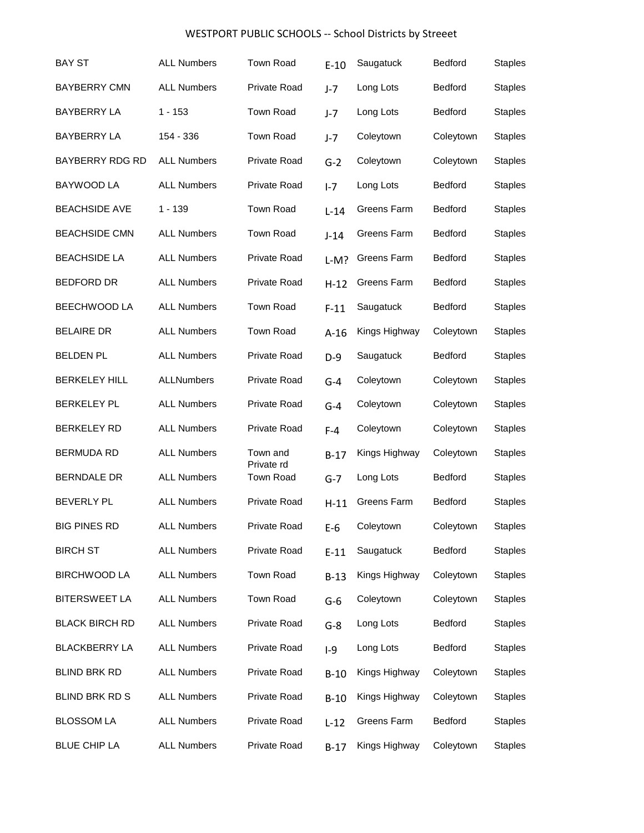| <b>BAY ST</b>          | <b>ALL Numbers</b> | <b>Town Road</b>       | $E-10$  | Saugatuck     | Bedford        | <b>Staples</b> |
|------------------------|--------------------|------------------------|---------|---------------|----------------|----------------|
| <b>BAYBERRY CMN</b>    | <b>ALL Numbers</b> | <b>Private Road</b>    | $J - 7$ | Long Lots     | <b>Bedford</b> | <b>Staples</b> |
| BAYBERRY LA            | $1 - 153$          | Town Road              | $J-7$   | Long Lots     | Bedford        | <b>Staples</b> |
| <b>BAYBERRY LA</b>     | 154 - 336          | <b>Town Road</b>       | $J-7$   | Coleytown     | Coleytown      | <b>Staples</b> |
| <b>BAYBERRY RDG RD</b> | <b>ALL Numbers</b> | Private Road           | $G-2$   | Coleytown     | Coleytown      | <b>Staples</b> |
| BAYWOOD LA             | <b>ALL Numbers</b> | <b>Private Road</b>    | $I - 7$ | Long Lots     | Bedford        | <b>Staples</b> |
| <b>BEACHSIDE AVE</b>   | $1 - 139$          | Town Road              | $L-14$  | Greens Farm   | <b>Bedford</b> | <b>Staples</b> |
| <b>BEACHSIDE CMN</b>   | <b>ALL Numbers</b> | <b>Town Road</b>       | $J-14$  | Greens Farm   | Bedford        | <b>Staples</b> |
| <b>BEACHSIDE LA</b>    | <b>ALL Numbers</b> | <b>Private Road</b>    | $L-M?$  | Greens Farm   | <b>Bedford</b> | <b>Staples</b> |
| <b>BEDFORD DR</b>      | <b>ALL Numbers</b> | <b>Private Road</b>    | $H-12$  | Greens Farm   | <b>Bedford</b> | <b>Staples</b> |
| <b>BEECHWOOD LA</b>    | <b>ALL Numbers</b> | Town Road              | $F-11$  | Saugatuck     | Bedford        | <b>Staples</b> |
| <b>BELAIRE DR</b>      | <b>ALL Numbers</b> | Town Road              | $A-16$  | Kings Highway | Coleytown      | <b>Staples</b> |
| <b>BELDEN PL</b>       | <b>ALL Numbers</b> | <b>Private Road</b>    | $D-9$   | Saugatuck     | <b>Bedford</b> | <b>Staples</b> |
| <b>BERKELEY HILL</b>   | <b>ALLNumbers</b>  | Private Road           | $G-4$   | Coleytown     | Coleytown      | <b>Staples</b> |
| <b>BERKELEY PL</b>     | <b>ALL Numbers</b> | Private Road           | $G-4$   | Coleytown     | Coleytown      | <b>Staples</b> |
| <b>BERKELEY RD</b>     | <b>ALL Numbers</b> | Private Road           | $F-4$   | Coleytown     | Coleytown      | <b>Staples</b> |
| <b>BERMUDA RD</b>      | <b>ALL Numbers</b> | Town and<br>Private rd | $B-17$  | Kings Highway | Coleytown      | <b>Staples</b> |
| <b>BERNDALE DR</b>     | <b>ALL Numbers</b> | <b>Town Road</b>       | $G-7$   | Long Lots     | Bedford        | <b>Staples</b> |
| <b>BEVERLY PL</b>      | <b>ALL Numbers</b> | <b>Private Road</b>    | $H-11$  | Greens Farm   | <b>Bedford</b> | <b>Staples</b> |
| <b>BIG PINES RD</b>    | <b>ALL Numbers</b> | Private Road           | $E-6$   | Coleytown     | Coleytown      | <b>Staples</b> |
| <b>BIRCH ST</b>        | <b>ALL Numbers</b> | Private Road           | $E-11$  | Saugatuck     | Bedford        | <b>Staples</b> |
| <b>BIRCHWOOD LA</b>    | <b>ALL Numbers</b> | Town Road              | $B-13$  | Kings Highway | Coleytown      | <b>Staples</b> |
| <b>BITERSWEET LA</b>   | <b>ALL Numbers</b> | Town Road              | $G-6$   | Coleytown     | Coleytown      | <b>Staples</b> |
| <b>BLACK BIRCH RD</b>  | <b>ALL Numbers</b> | Private Road           | $G-8$   | Long Lots     | Bedford        | <b>Staples</b> |
| <b>BLACKBERRY LA</b>   | <b>ALL Numbers</b> | Private Road           | $I-9$   | Long Lots     | Bedford        | <b>Staples</b> |
| <b>BLIND BRK RD</b>    | <b>ALL Numbers</b> | Private Road           | $B-10$  | Kings Highway | Coleytown      | <b>Staples</b> |
| BLIND BRK RD S         | <b>ALL Numbers</b> | Private Road           | $B-10$  | Kings Highway | Coleytown      | <b>Staples</b> |
| <b>BLOSSOM LA</b>      | <b>ALL Numbers</b> | Private Road           | $L-12$  | Greens Farm   | Bedford        | <b>Staples</b> |
| <b>BLUE CHIP LA</b>    | <b>ALL Numbers</b> | Private Road           | $B-17$  | Kings Highway | Coleytown      | <b>Staples</b> |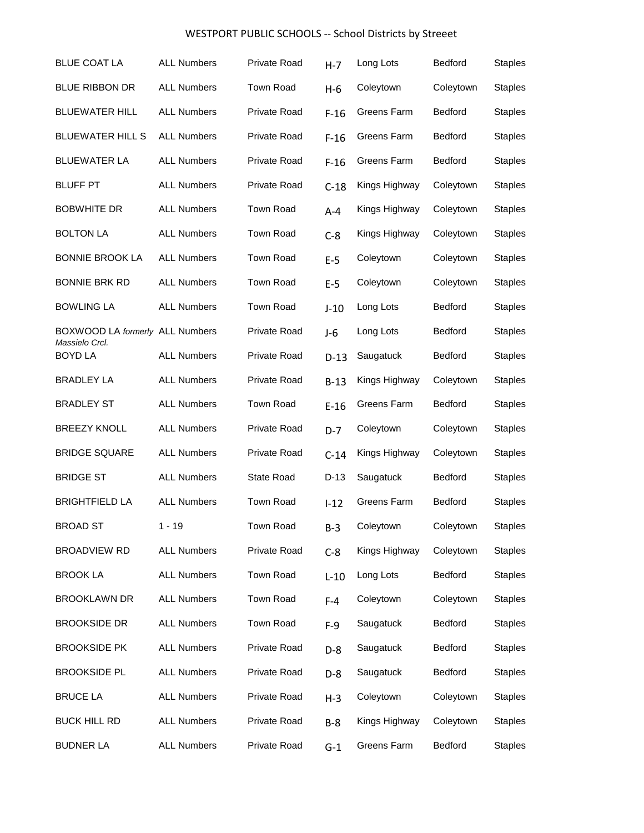| <b>BLUE COAT LA</b>                               | <b>ALL Numbers</b> | <b>Private Road</b> | $H - 7$ | Long Lots     | Bedford        | <b>Staples</b> |
|---------------------------------------------------|--------------------|---------------------|---------|---------------|----------------|----------------|
| <b>BLUE RIBBON DR</b>                             | <b>ALL Numbers</b> | <b>Town Road</b>    | $H-6$   | Coleytown     | Coleytown      | <b>Staples</b> |
| <b>BLUEWATER HILL</b>                             | <b>ALL Numbers</b> | <b>Private Road</b> | $F-16$  | Greens Farm   | <b>Bedford</b> | <b>Staples</b> |
| <b>BLUEWATER HILL S</b>                           | <b>ALL Numbers</b> | <b>Private Road</b> | $F-16$  | Greens Farm   | <b>Bedford</b> | <b>Staples</b> |
| <b>BLUEWATER LA</b>                               | <b>ALL Numbers</b> | Private Road        | $F-16$  | Greens Farm   | Bedford        | <b>Staples</b> |
| <b>BLUFF PT</b>                                   | <b>ALL Numbers</b> | Private Road        | $C-18$  | Kings Highway | Coleytown      | <b>Staples</b> |
| <b>BOBWHITE DR</b>                                | <b>ALL Numbers</b> | <b>Town Road</b>    | $A - 4$ | Kings Highway | Coleytown      | <b>Staples</b> |
| <b>BOLTON LA</b>                                  | <b>ALL Numbers</b> | <b>Town Road</b>    | $C-8$   | Kings Highway | Coleytown      | <b>Staples</b> |
| <b>BONNIE BROOK LA</b>                            | <b>ALL Numbers</b> | <b>Town Road</b>    | $E-5$   | Coleytown     | Coleytown      | <b>Staples</b> |
| <b>BONNIE BRK RD</b>                              | <b>ALL Numbers</b> | <b>Town Road</b>    | $E-5$   | Coleytown     | Coleytown      | <b>Staples</b> |
| <b>BOWLING LA</b>                                 | <b>ALL Numbers</b> | <b>Town Road</b>    | $J-10$  | Long Lots     | Bedford        | <b>Staples</b> |
| BOXWOOD LA formerly ALL Numbers<br>Massielo Crcl. |                    | Private Road        | $J-6$   | Long Lots     | <b>Bedford</b> | <b>Staples</b> |
| <b>BOYD LA</b>                                    | <b>ALL Numbers</b> | <b>Private Road</b> | $D-13$  | Saugatuck     | <b>Bedford</b> | <b>Staples</b> |
| <b>BRADLEY LA</b>                                 | <b>ALL Numbers</b> | <b>Private Road</b> | $B-13$  | Kings Highway | Coleytown      | <b>Staples</b> |
| <b>BRADLEY ST</b>                                 | <b>ALL Numbers</b> | <b>Town Road</b>    | $E-16$  | Greens Farm   | <b>Bedford</b> | <b>Staples</b> |
| <b>BREEZY KNOLL</b>                               | <b>ALL Numbers</b> | <b>Private Road</b> | $D-7$   | Coleytown     | Coleytown      | <b>Staples</b> |
| <b>BRIDGE SQUARE</b>                              | <b>ALL Numbers</b> | <b>Private Road</b> | $C-14$  | Kings Highway | Coleytown      | <b>Staples</b> |
| <b>BRIDGE ST</b>                                  | <b>ALL Numbers</b> | State Road          | $D-13$  | Saugatuck     | Bedford        | <b>Staples</b> |
| <b>BRIGHTFIELD LA</b>                             | <b>ALL Numbers</b> | <b>Town Road</b>    | $I-12$  | Greens Farm   | <b>Bedford</b> | <b>Staples</b> |
| <b>BROAD ST</b>                                   | $1 - 19$           | Town Road           | $B-3$   | Coleytown     | Coleytown      | <b>Staples</b> |
| <b>BROADVIEW RD</b>                               | <b>ALL Numbers</b> | Private Road        | $C-8$   | Kings Highway | Coleytown      | <b>Staples</b> |
| <b>BROOK LA</b>                                   | <b>ALL Numbers</b> | Town Road           | $L-10$  | Long Lots     | Bedford        | <b>Staples</b> |
| <b>BROOKLAWN DR</b>                               | <b>ALL Numbers</b> | Town Road           | $F-4$   | Coleytown     | Coleytown      | <b>Staples</b> |
| <b>BROOKSIDE DR</b>                               | <b>ALL Numbers</b> | Town Road           | $F-9$   | Saugatuck     | Bedford        | <b>Staples</b> |
| <b>BROOKSIDE PK</b>                               | <b>ALL Numbers</b> | Private Road        | $D-8$   | Saugatuck     | Bedford        | <b>Staples</b> |
| <b>BROOKSIDE PL</b>                               | <b>ALL Numbers</b> | Private Road        | $D-8$   | Saugatuck     | Bedford        | <b>Staples</b> |
| <b>BRUCE LA</b>                                   | <b>ALL Numbers</b> | Private Road        | $H-3$   | Coleytown     | Coleytown      | <b>Staples</b> |
| <b>BUCK HILL RD</b>                               | <b>ALL Numbers</b> | Private Road        | $B-8$   | Kings Highway | Coleytown      | <b>Staples</b> |
| <b>BUDNER LA</b>                                  | <b>ALL Numbers</b> | Private Road        | $G-1$   | Greens Farm   | Bedford        | <b>Staples</b> |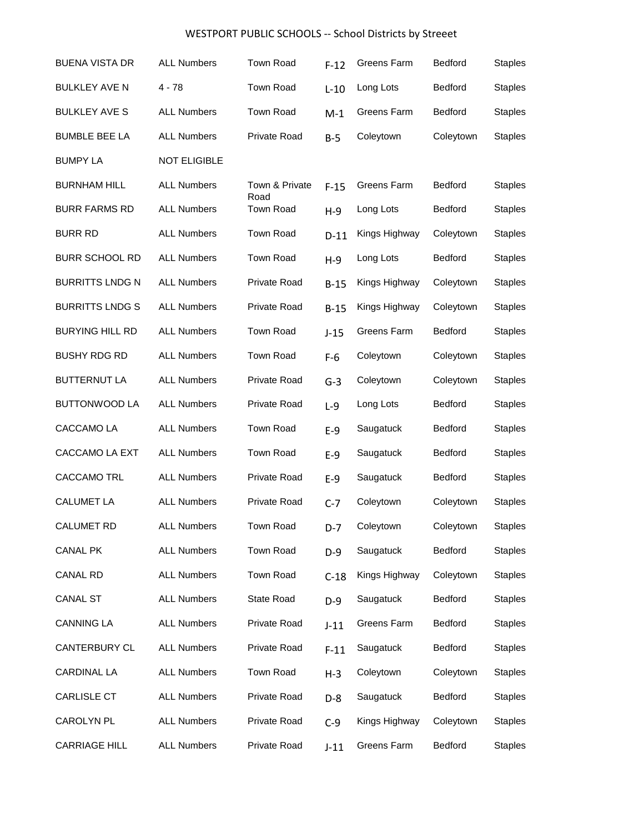| <b>BUENA VISTA DR</b>  | <b>ALL Numbers</b>  | Town Road              | $F-12$ | Greens Farm   | Bedford        | <b>Staples</b> |
|------------------------|---------------------|------------------------|--------|---------------|----------------|----------------|
| <b>BULKLEY AVE N</b>   | $4 - 78$            | Town Road              | $L-10$ | Long Lots     | <b>Bedford</b> | <b>Staples</b> |
| <b>BULKLEY AVE S</b>   | <b>ALL Numbers</b>  | Town Road              | $M-1$  | Greens Farm   | <b>Bedford</b> | <b>Staples</b> |
| <b>BUMBLE BEE LA</b>   | <b>ALL Numbers</b>  | <b>Private Road</b>    | $B-5$  | Coleytown     | Coleytown      | <b>Staples</b> |
| <b>BUMPY LA</b>        | <b>NOT ELIGIBLE</b> |                        |        |               |                |                |
| <b>BURNHAM HILL</b>    | <b>ALL Numbers</b>  | Town & Private<br>Road | $F-15$ | Greens Farm   | <b>Bedford</b> | <b>Staples</b> |
| <b>BURR FARMS RD</b>   | <b>ALL Numbers</b>  | <b>Town Road</b>       | $H-9$  | Long Lots     | Bedford        | <b>Staples</b> |
| <b>BURR RD</b>         | <b>ALL Numbers</b>  | Town Road              | $D-11$ | Kings Highway | Coleytown      | <b>Staples</b> |
| <b>BURR SCHOOL RD</b>  | <b>ALL Numbers</b>  | Town Road              | $H-9$  | Long Lots     | Bedford        | <b>Staples</b> |
| <b>BURRITTS LNDG N</b> | <b>ALL Numbers</b>  | Private Road           | $B-15$ | Kings Highway | Coleytown      | <b>Staples</b> |
| <b>BURRITTS LNDG S</b> | <b>ALL Numbers</b>  | Private Road           | $B-15$ | Kings Highway | Coleytown      | <b>Staples</b> |
| <b>BURYING HILL RD</b> | <b>ALL Numbers</b>  | Town Road              | $J-15$ | Greens Farm   | <b>Bedford</b> | <b>Staples</b> |
| <b>BUSHY RDG RD</b>    | <b>ALL Numbers</b>  | Town Road              | $F-6$  | Coleytown     | Coleytown      | <b>Staples</b> |
| <b>BUTTERNUT LA</b>    | <b>ALL Numbers</b>  | <b>Private Road</b>    | $G-3$  | Coleytown     | Coleytown      | <b>Staples</b> |
| <b>BUTTONWOOD LA</b>   | <b>ALL Numbers</b>  | <b>Private Road</b>    | $L-9$  | Long Lots     | <b>Bedford</b> | <b>Staples</b> |
| CACCAMO LA             | <b>ALL Numbers</b>  | <b>Town Road</b>       | $E-9$  | Saugatuck     | <b>Bedford</b> | <b>Staples</b> |
| CACCAMO LA EXT         | <b>ALL Numbers</b>  | <b>Town Road</b>       | $E-9$  | Saugatuck     | <b>Bedford</b> | <b>Staples</b> |
| <b>CACCAMO TRL</b>     | <b>ALL Numbers</b>  | Private Road           | $E-9$  | Saugatuck     | Bedford        | <b>Staples</b> |
| <b>CALUMET LA</b>      | <b>ALL Numbers</b>  | Private Road           | $C-7$  | Coleytown     | Coleytown      | <b>Staples</b> |
| CALUMET RD             | <b>ALL Numbers</b>  | Town Road              | $D-7$  | Coleytown     | Coleytown      | <b>Staples</b> |
| <b>CANAL PK</b>        | <b>ALL Numbers</b>  | Town Road              | $D-9$  | Saugatuck     | Bedford        | <b>Staples</b> |
| <b>CANAL RD</b>        | <b>ALL Numbers</b>  | Town Road              | $C-18$ | Kings Highway | Coleytown      | <b>Staples</b> |
| <b>CANAL ST</b>        | <b>ALL Numbers</b>  | <b>State Road</b>      | $D-9$  | Saugatuck     | Bedford        | <b>Staples</b> |
| <b>CANNING LA</b>      | <b>ALL Numbers</b>  | Private Road           | $J-11$ | Greens Farm   | Bedford        | <b>Staples</b> |
| CANTERBURY CL          | <b>ALL Numbers</b>  | Private Road           | $F-11$ | Saugatuck     | Bedford        | <b>Staples</b> |
| <b>CARDINAL LA</b>     | <b>ALL Numbers</b>  | Town Road              | $H-3$  | Coleytown     | Coleytown      | <b>Staples</b> |
| <b>CARLISLE CT</b>     | <b>ALL Numbers</b>  | Private Road           | $D-8$  | Saugatuck     | Bedford        | <b>Staples</b> |
| CAROLYN PL             | <b>ALL Numbers</b>  | Private Road           | $C-9$  | Kings Highway | Coleytown      | <b>Staples</b> |
| <b>CARRIAGE HILL</b>   | <b>ALL Numbers</b>  | Private Road           | $J-11$ | Greens Farm   | Bedford        | <b>Staples</b> |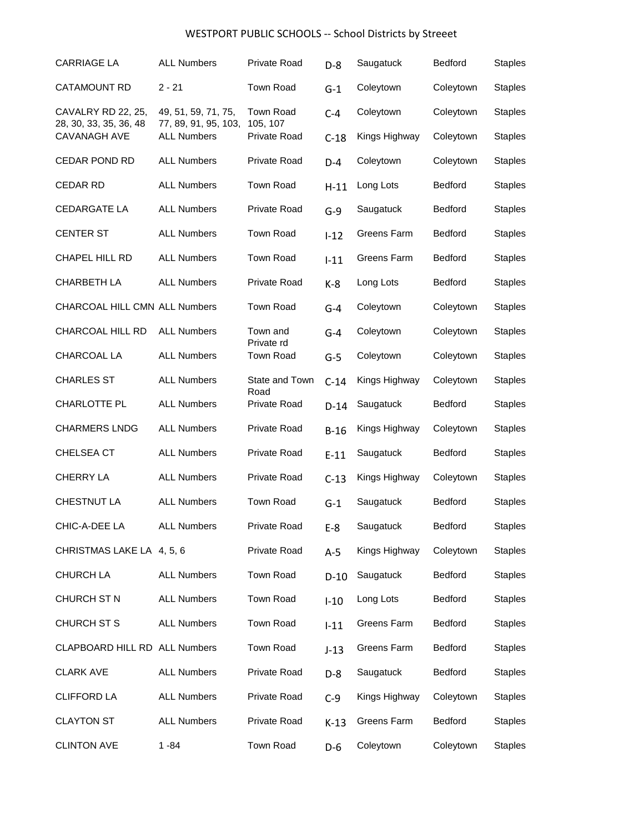| <b>CARRIAGE LA</b>                           | <b>ALL Numbers</b>                          | <b>Private Road</b>          | $D-8$  | Saugatuck     | <b>Bedford</b> | <b>Staples</b> |
|----------------------------------------------|---------------------------------------------|------------------------------|--------|---------------|----------------|----------------|
| <b>CATAMOUNT RD</b>                          | $2 - 21$                                    | <b>Town Road</b>             | $G-1$  | Coleytown     | Coleytown      | <b>Staples</b> |
| CAVALRY RD 22, 25,<br>28, 30, 33, 35, 36, 48 | 49, 51, 59, 71, 75,<br>77, 89, 91, 95, 103, | <b>Town Road</b><br>105, 107 | $C-4$  | Coleytown     | Coleytown      | <b>Staples</b> |
| <b>CAVANAGH AVE</b>                          | <b>ALL Numbers</b>                          | <b>Private Road</b>          | $C-18$ | Kings Highway | Coleytown      | <b>Staples</b> |
| CEDAR POND RD                                | <b>ALL Numbers</b>                          | Private Road                 | $D-4$  | Coleytown     | Coleytown      | <b>Staples</b> |
| <b>CEDAR RD</b>                              | <b>ALL Numbers</b>                          | <b>Town Road</b>             | $H-11$ | Long Lots     | <b>Bedford</b> | <b>Staples</b> |
| <b>CEDARGATE LA</b>                          | <b>ALL Numbers</b>                          | <b>Private Road</b>          | $G-9$  | Saugatuck     | Bedford        | <b>Staples</b> |
| <b>CENTER ST</b>                             | <b>ALL Numbers</b>                          | <b>Town Road</b>             | $I-12$ | Greens Farm   | <b>Bedford</b> | <b>Staples</b> |
| <b>CHAPEL HILL RD</b>                        | <b>ALL Numbers</b>                          | <b>Town Road</b>             | $I-11$ | Greens Farm   | Bedford        | <b>Staples</b> |
| <b>CHARBETH LA</b>                           | <b>ALL Numbers</b>                          | Private Road                 | $K-8$  | Long Lots     | Bedford        | <b>Staples</b> |
| CHARCOAL HILL CMN ALL Numbers                |                                             | <b>Town Road</b>             | $G-4$  | Coleytown     | Coleytown      | <b>Staples</b> |
| CHARCOAL HILL RD                             | <b>ALL Numbers</b>                          | Town and<br>Private rd       | $G-4$  | Coleytown     | Coleytown      | <b>Staples</b> |
| CHARCOAL LA                                  | <b>ALL Numbers</b>                          | <b>Town Road</b>             | $G-5$  | Coleytown     | Coleytown      | <b>Staples</b> |
| <b>CHARLES ST</b>                            | <b>ALL Numbers</b>                          | State and Town<br>Road       | $C-14$ | Kings Highway | Coleytown      | <b>Staples</b> |
| <b>CHARLOTTE PL</b>                          | <b>ALL Numbers</b>                          | <b>Private Road</b>          | $D-14$ | Saugatuck     | <b>Bedford</b> | <b>Staples</b> |
| <b>CHARMERS LNDG</b>                         | <b>ALL Numbers</b>                          | <b>Private Road</b>          | $B-16$ | Kings Highway | Coleytown      | <b>Staples</b> |
| <b>CHELSEA CT</b>                            | <b>ALL Numbers</b>                          | <b>Private Road</b>          | $E-11$ | Saugatuck     | Bedford        | <b>Staples</b> |
| <b>CHERRY LA</b>                             | <b>ALL Numbers</b>                          | <b>Private Road</b>          | $C-13$ | Kings Highway | Coleytown      | <b>Staples</b> |
| CHESTNUT LA                                  | <b>ALL Numbers</b>                          | <b>Town Road</b>             | $G-1$  | Saugatuck     | <b>Bedford</b> | <b>Staples</b> |
| CHIC-A-DEE LA                                | <b>ALL Numbers</b>                          | Private Road                 | $E-8$  | Saugatuck     | Bedford        | <b>Staples</b> |
| CHRISTMAS LAKE LA 4, 5, 6                    |                                             | Private Road                 | $A-5$  | Kings Highway | Coleytown      | <b>Staples</b> |
| CHURCH LA                                    | <b>ALL Numbers</b>                          | Town Road                    | $D-10$ | Saugatuck     | Bedford        | <b>Staples</b> |
| CHURCH ST N                                  | <b>ALL Numbers</b>                          | Town Road                    | $I-10$ | Long Lots     | Bedford        | <b>Staples</b> |
| CHURCH ST S                                  | <b>ALL Numbers</b>                          | Town Road                    | $I-11$ | Greens Farm   | Bedford        | <b>Staples</b> |
| CLAPBOARD HILL RD ALL Numbers                |                                             | Town Road                    | $J-13$ | Greens Farm   | Bedford        | <b>Staples</b> |
| <b>CLARK AVE</b>                             | <b>ALL Numbers</b>                          | Private Road                 | $D-8$  | Saugatuck     | Bedford        | <b>Staples</b> |
| <b>CLIFFORD LA</b>                           | <b>ALL Numbers</b>                          | Private Road                 | $C-9$  | Kings Highway | Coleytown      | <b>Staples</b> |
| <b>CLAYTON ST</b>                            | <b>ALL Numbers</b>                          | Private Road                 | $K-13$ | Greens Farm   | Bedford        | <b>Staples</b> |
| <b>CLINTON AVE</b>                           | $1 - 84$                                    | Town Road                    | $D-6$  | Coleytown     | Coleytown      | <b>Staples</b> |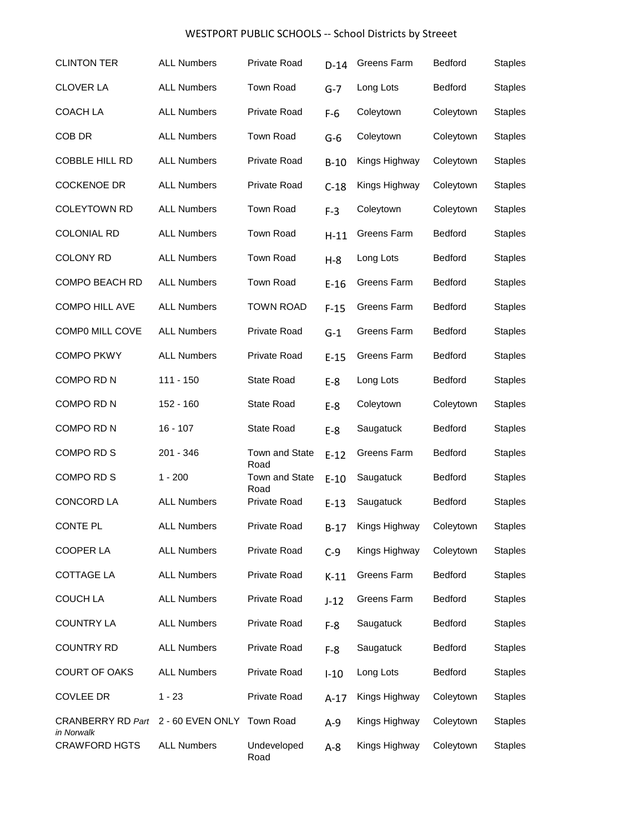| <b>CLINTON TER</b>                     | <b>ALL Numbers</b> | <b>Private Road</b>    | $D-14$ | Greens Farm   | <b>Bedford</b> | <b>Staples</b> |
|----------------------------------------|--------------------|------------------------|--------|---------------|----------------|----------------|
| <b>CLOVER LA</b>                       | <b>ALL Numbers</b> | Town Road              | $G-7$  | Long Lots     | <b>Bedford</b> | Staples        |
| COACH LA                               | <b>ALL Numbers</b> | Private Road           | $F-6$  | Coleytown     | Coleytown      | <b>Staples</b> |
| COB DR                                 | <b>ALL Numbers</b> | <b>Town Road</b>       | $G-6$  | Coleytown     | Coleytown      | <b>Staples</b> |
| <b>COBBLE HILL RD</b>                  | <b>ALL Numbers</b> | Private Road           | $B-10$ | Kings Highway | Coleytown      | <b>Staples</b> |
| <b>COCKENOE DR</b>                     | <b>ALL Numbers</b> | Private Road           | $C-18$ | Kings Highway | Coleytown      | <b>Staples</b> |
| <b>COLEYTOWN RD</b>                    | <b>ALL Numbers</b> | <b>Town Road</b>       | $F-3$  | Coleytown     | Coleytown      | <b>Staples</b> |
| <b>COLONIAL RD</b>                     | <b>ALL Numbers</b> | <b>Town Road</b>       | $H-11$ | Greens Farm   | <b>Bedford</b> | Staples        |
| <b>COLONY RD</b>                       | <b>ALL Numbers</b> | <b>Town Road</b>       | $H-8$  | Long Lots     | <b>Bedford</b> | <b>Staples</b> |
| <b>COMPO BEACH RD</b>                  | <b>ALL Numbers</b> | <b>Town Road</b>       | $E-16$ | Greens Farm   | <b>Bedford</b> | <b>Staples</b> |
| <b>COMPO HILL AVE</b>                  | <b>ALL Numbers</b> | <b>TOWN ROAD</b>       | $F-15$ | Greens Farm   | <b>Bedford</b> | <b>Staples</b> |
| COMP0 MILL COVE                        | <b>ALL Numbers</b> | <b>Private Road</b>    | $G-1$  | Greens Farm   | <b>Bedford</b> | <b>Staples</b> |
| <b>COMPO PKWY</b>                      | <b>ALL Numbers</b> | <b>Private Road</b>    | $E-15$ | Greens Farm   | <b>Bedford</b> | <b>Staples</b> |
| COMPO RD N                             | 111 - 150          | <b>State Road</b>      | $E-8$  | Long Lots     | <b>Bedford</b> | <b>Staples</b> |
| COMPO RD N                             | $152 - 160$        | <b>State Road</b>      | $E-8$  | Coleytown     | Coleytown      | Staples        |
| COMPO RD N                             | $16 - 107$         | State Road             | $E-8$  | Saugatuck     | <b>Bedford</b> | <b>Staples</b> |
| COMPO RD S                             | 201 - 346          | Town and State<br>Road | $E-12$ | Greens Farm   | <b>Bedford</b> | Staples        |
| <b>COMPORDS</b>                        | $1 - 200$          | Town and State<br>Road | $E-10$ | Saugatuck     | <b>Bedford</b> | <b>Staples</b> |
| <b>CONCORD LA</b>                      | <b>ALL Numbers</b> | Private Road           | $E-13$ | Saugatuck     | <b>Bedford</b> | <b>Staples</b> |
| CONTE PL                               | <b>ALL Numbers</b> | Private Road           | $B-17$ | Kings Highway | Coleytown      | <b>Staples</b> |
| <b>COOPER LA</b>                       | <b>ALL Numbers</b> | Private Road           | $C-9$  | Kings Highway | Coleytown      | <b>Staples</b> |
| <b>COTTAGE LA</b>                      | <b>ALL Numbers</b> | Private Road           | $K-11$ | Greens Farm   | Bedford        | <b>Staples</b> |
| <b>COUCH LA</b>                        | <b>ALL Numbers</b> | Private Road           | $J-12$ | Greens Farm   | Bedford        | <b>Staples</b> |
| <b>COUNTRY LA</b>                      | <b>ALL Numbers</b> | Private Road           | $F-8$  | Saugatuck     | Bedford        | <b>Staples</b> |
| <b>COUNTRY RD</b>                      | <b>ALL Numbers</b> | Private Road           | $F-8$  | Saugatuck     | Bedford        | <b>Staples</b> |
| <b>COURT OF OAKS</b>                   | <b>ALL Numbers</b> | Private Road           | $I-10$ | Long Lots     | Bedford        | <b>Staples</b> |
| <b>COVLEE DR</b>                       | $1 - 23$           | Private Road           | $A-17$ | Kings Highway | Coleytown      | <b>Staples</b> |
| <b>CRANBERRY RD Part</b><br>in Norwalk | 2 - 60 EVEN ONLY   | Town Road              | $A-9$  | Kings Highway | Coleytown      | <b>Staples</b> |
| <b>CRAWFORD HGTS</b>                   | <b>ALL Numbers</b> | Undeveloped<br>Road    | $A-8$  | Kings Highway | Coleytown      | <b>Staples</b> |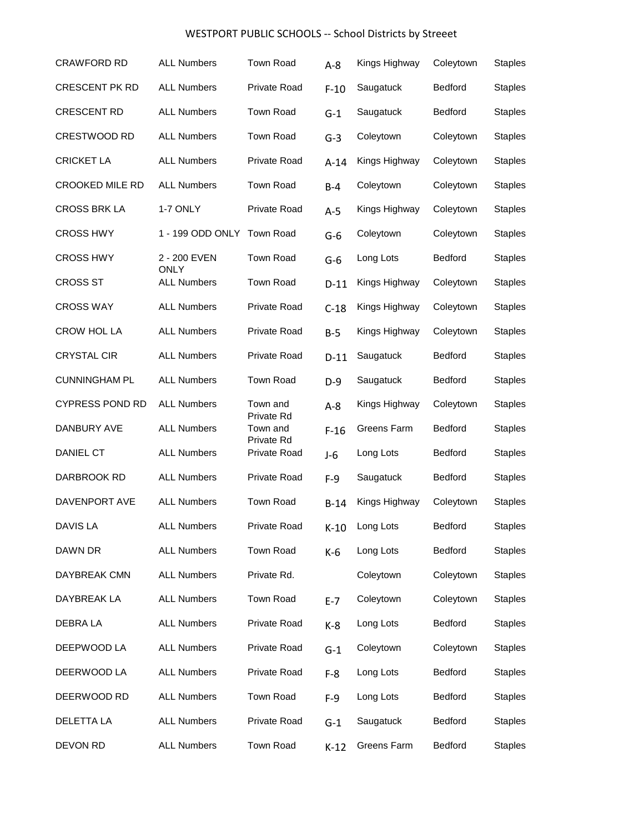| <b>CRAWFORD RD</b>     | <b>ALL Numbers</b>   | Town Road              | $A-8$   | Kings Highway      | Coleytown      | <b>Staples</b> |
|------------------------|----------------------|------------------------|---------|--------------------|----------------|----------------|
| CRESCENT PK RD         | <b>ALL Numbers</b>   | <b>Private Road</b>    | $F-10$  | Saugatuck          | <b>Bedford</b> | <b>Staples</b> |
| <b>CRESCENT RD</b>     | <b>ALL Numbers</b>   | <b>Town Road</b>       | $G-1$   | Saugatuck          | <b>Bedford</b> | <b>Staples</b> |
| <b>CRESTWOOD RD</b>    | <b>ALL Numbers</b>   | <b>Town Road</b>       | $G-3$   | Coleytown          | Coleytown      | <b>Staples</b> |
| <b>CRICKET LA</b>      | <b>ALL Numbers</b>   | <b>Private Road</b>    | $A-14$  | Kings Highway      | Coleytown      | <b>Staples</b> |
| <b>CROOKED MILE RD</b> | <b>ALL Numbers</b>   | <b>Town Road</b>       | $B-4$   | Coleytown          | Coleytown      | <b>Staples</b> |
| <b>CROSS BRK LA</b>    | 1-7 ONLY             | <b>Private Road</b>    | $A-5$   | Kings Highway      | Coleytown      | <b>Staples</b> |
| <b>CROSS HWY</b>       | 1 - 199 ODD ONLY     | Town Road              | $G-6$   | Coleytown          | Coleytown      | <b>Staples</b> |
| <b>CROSS HWY</b>       | 2 - 200 EVEN<br>ONLY | Town Road              | $G-6$   | Long Lots          | <b>Bedford</b> | <b>Staples</b> |
| <b>CROSS ST</b>        | <b>ALL Numbers</b>   | Town Road              | $D-11$  | Kings Highway      | Coleytown      | <b>Staples</b> |
| <b>CROSS WAY</b>       | <b>ALL Numbers</b>   | <b>Private Road</b>    | $C-18$  | Kings Highway      | Coleytown      | <b>Staples</b> |
| <b>CROW HOL LA</b>     | <b>ALL Numbers</b>   | <b>Private Road</b>    | $B-5$   | Kings Highway      | Coleytown      | <b>Staples</b> |
| <b>CRYSTAL CIR</b>     | <b>ALL Numbers</b>   | <b>Private Road</b>    | $D-11$  | Saugatuck          | <b>Bedford</b> | <b>Staples</b> |
| <b>CUNNINGHAM PL</b>   | <b>ALL Numbers</b>   | <b>Town Road</b>       | $D-9$   | Saugatuck          | <b>Bedford</b> | <b>Staples</b> |
| <b>CYPRESS POND RD</b> | <b>ALL Numbers</b>   | Town and<br>Private Rd | $A-8$   | Kings Highway      | Coleytown      | <b>Staples</b> |
| DANBURY AVE            | <b>ALL Numbers</b>   | Town and<br>Private Rd | $F-16$  | <b>Greens Farm</b> | <b>Bedford</b> | <b>Staples</b> |
| <b>DANIEL CT</b>       | <b>ALL Numbers</b>   | <b>Private Road</b>    | $J-6$   | Long Lots          | Bedford        | <b>Staples</b> |
| DARBROOK RD            | <b>ALL Numbers</b>   | Private Road           | $F-9$   | Saugatuck          | <b>Bedford</b> | <b>Staples</b> |
| DAVENPORT AVE          | <b>ALL Numbers</b>   | Town Road              | $B-14$  | Kings Highway      | Coleytown      | <b>Staples</b> |
| DAVIS LA               | <b>ALL Numbers</b>   | Private Road           |         | K-10 Long Lots     | Bedford        | <b>Staples</b> |
| DAWN DR                | <b>ALL Numbers</b>   | Town Road              | $K-6$   | Long Lots          | Bedford        | <b>Staples</b> |
| DAYBREAK CMN           | <b>ALL Numbers</b>   | Private Rd.            |         | Coleytown          | Coleytown      | <b>Staples</b> |
| DAYBREAK LA            | <b>ALL Numbers</b>   | Town Road              | $E - 7$ | Coleytown          | Coleytown      | <b>Staples</b> |
| DEBRA LA               | <b>ALL Numbers</b>   | Private Road           | $K-8$   | Long Lots          | Bedford        | <b>Staples</b> |
| DEEPWOOD LA            | <b>ALL Numbers</b>   | Private Road           | $G-1$   | Coleytown          | Coleytown      | <b>Staples</b> |
| DEERWOOD LA            | <b>ALL Numbers</b>   | Private Road           | $F-8$   | Long Lots          | Bedford        | <b>Staples</b> |
| DEERWOOD RD            | <b>ALL Numbers</b>   | Town Road              | $F-9$   | Long Lots          | Bedford        | <b>Staples</b> |
| DELETTA LA             | <b>ALL Numbers</b>   | Private Road           | $G-1$   | Saugatuck          | Bedford        | <b>Staples</b> |
| <b>DEVON RD</b>        | <b>ALL Numbers</b>   | Town Road              | $K-12$  | Greens Farm        | Bedford        | <b>Staples</b> |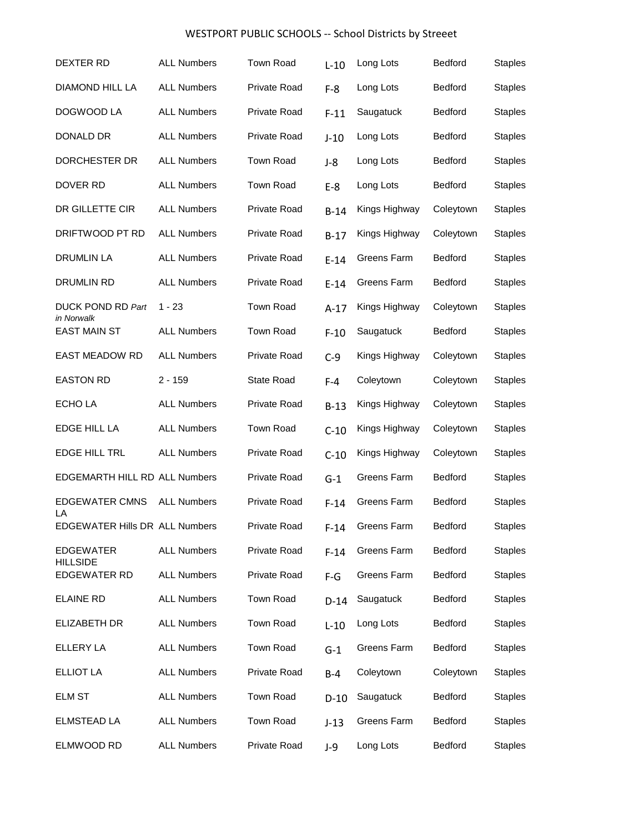| <b>DEXTER RD</b>                     | <b>ALL Numbers</b> | Town Road           | $L-10$ | Long Lots        | Bedford        | <b>Staples</b> |
|--------------------------------------|--------------------|---------------------|--------|------------------|----------------|----------------|
| DIAMOND HILL LA                      | <b>ALL Numbers</b> | <b>Private Road</b> | $F-8$  | Long Lots        | <b>Bedford</b> | <b>Staples</b> |
| DOGWOOD LA                           | <b>ALL Numbers</b> | <b>Private Road</b> | $F-11$ | Saugatuck        | <b>Bedford</b> | <b>Staples</b> |
| DONALD DR                            | <b>ALL Numbers</b> | <b>Private Road</b> | $J-10$ | Long Lots        | <b>Bedford</b> | <b>Staples</b> |
| DORCHESTER DR                        | <b>ALL Numbers</b> | <b>Town Road</b>    | $J-8$  | Long Lots        | <b>Bedford</b> | <b>Staples</b> |
| DOVER RD                             | <b>ALL Numbers</b> | Town Road           | $E-8$  | Long Lots        | <b>Bedford</b> | <b>Staples</b> |
| DR GILLETTE CIR                      | <b>ALL Numbers</b> | <b>Private Road</b> | $B-14$ | Kings Highway    | Coleytown      | <b>Staples</b> |
| DRIFTWOOD PT RD                      | <b>ALL Numbers</b> | <b>Private Road</b> | $B-17$ | Kings Highway    | Coleytown      | <b>Staples</b> |
| <b>DRUMLIN LA</b>                    | <b>ALL Numbers</b> | <b>Private Road</b> | $E-14$ | Greens Farm      | Bedford        | <b>Staples</b> |
| DRUMLIN RD                           | <b>ALL Numbers</b> | <b>Private Road</b> | $E-14$ | Greens Farm      | Bedford        | <b>Staples</b> |
| DUCK POND RD Part<br>in Norwalk      | $1 - 23$           | Town Road           | $A-17$ | Kings Highway    | Coleytown      | <b>Staples</b> |
| <b>EAST MAIN ST</b>                  | <b>ALL Numbers</b> | Town Road           | $F-10$ | Saugatuck        | <b>Bedford</b> | <b>Staples</b> |
| <b>EAST MEADOW RD</b>                | <b>ALL Numbers</b> | <b>Private Road</b> | $C-9$  | Kings Highway    | Coleytown      | <b>Staples</b> |
| <b>EASTON RD</b>                     | $2 - 159$          | State Road          | $F-4$  | Coleytown        | Coleytown      | <b>Staples</b> |
| ECHO LA                              | <b>ALL Numbers</b> | <b>Private Road</b> | $B-13$ | Kings Highway    | Coleytown      | <b>Staples</b> |
| <b>EDGE HILL LA</b>                  | <b>ALL Numbers</b> | Town Road           | $C-10$ | Kings Highway    | Coleytown      | <b>Staples</b> |
| <b>EDGE HILL TRL</b>                 | <b>ALL Numbers</b> | <b>Private Road</b> | $C-10$ | Kings Highway    | Coleytown      | <b>Staples</b> |
| <b>EDGEMARTH HILL RD ALL Numbers</b> |                    | <b>Private Road</b> | $G-1$  | Greens Farm      | <b>Bedford</b> | <b>Staples</b> |
| <b>EDGEWATER CMNS</b><br>LA          | <b>ALL Numbers</b> | <b>Private Road</b> | $F-14$ | Greens Farm      | <b>Bedford</b> | <b>Staples</b> |
| EDGEWATER Hills DR ALL Numbers       |                    | Private Road        |        | F-14 Greens Farm | Bedford        | <b>Staples</b> |
| <b>EDGEWATER</b><br><b>HILLSIDE</b>  | <b>ALL Numbers</b> | Private Road        | $F-14$ | Greens Farm      | Bedford        | <b>Staples</b> |
| <b>EDGEWATER RD</b>                  | <b>ALL Numbers</b> | Private Road        | $F-G$  | Greens Farm      | Bedford        | <b>Staples</b> |
| <b>ELAINE RD</b>                     | <b>ALL Numbers</b> | Town Road           | $D-14$ | Saugatuck        | Bedford        | <b>Staples</b> |
| ELIZABETH DR                         | <b>ALL Numbers</b> | Town Road           | $L-10$ | Long Lots        | Bedford        | <b>Staples</b> |
| ELLERY LA                            | <b>ALL Numbers</b> | Town Road           | $G-1$  | Greens Farm      | Bedford        | <b>Staples</b> |
| <b>ELLIOT LA</b>                     | <b>ALL Numbers</b> | Private Road        | $B-4$  | Coleytown        | Coleytown      | <b>Staples</b> |
| <b>ELM ST</b>                        | <b>ALL Numbers</b> | Town Road           | $D-10$ | Saugatuck        | Bedford        | <b>Staples</b> |
| ELMSTEAD LA                          | <b>ALL Numbers</b> | Town Road           | $J-13$ | Greens Farm      | Bedford        | <b>Staples</b> |
| ELMWOOD RD                           | <b>ALL Numbers</b> | Private Road        | $J-9$  | Long Lots        | Bedford        | <b>Staples</b> |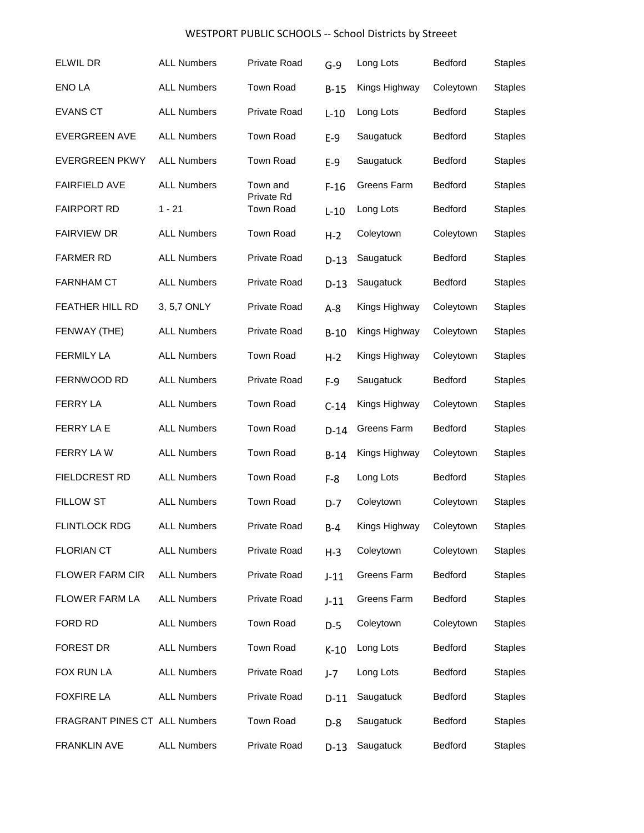| ELWIL DR                      | <b>ALL Numbers</b> | <b>Private Road</b>    | $G-9$   | Long Lots          | <b>Bedford</b> | <b>Staples</b> |
|-------------------------------|--------------------|------------------------|---------|--------------------|----------------|----------------|
| ENO LA                        | <b>ALL Numbers</b> | <b>Town Road</b>       | $B-15$  | Kings Highway      | Coleytown      | <b>Staples</b> |
| <b>EVANS CT</b>               | <b>ALL Numbers</b> | <b>Private Road</b>    | $L-10$  | Long Lots          | <b>Bedford</b> | <b>Staples</b> |
| <b>EVERGREEN AVE</b>          | <b>ALL Numbers</b> | <b>Town Road</b>       | $E-9$   | Saugatuck          | <b>Bedford</b> | <b>Staples</b> |
| <b>EVERGREEN PKWY</b>         | <b>ALL Numbers</b> | <b>Town Road</b>       | $E-9$   | Saugatuck          | <b>Bedford</b> | <b>Staples</b> |
| <b>FAIRFIELD AVE</b>          | <b>ALL Numbers</b> | Town and<br>Private Rd | $F-16$  | <b>Greens Farm</b> | <b>Bedford</b> | <b>Staples</b> |
| <b>FAIRPORT RD</b>            | $1 - 21$           | <b>Town Road</b>       | $L-10$  | Long Lots          | <b>Bedford</b> | <b>Staples</b> |
| <b>FAIRVIEW DR</b>            | <b>ALL Numbers</b> | <b>Town Road</b>       | $H-2$   | Coleytown          | Coleytown      | <b>Staples</b> |
| <b>FARMER RD</b>              | <b>ALL Numbers</b> | <b>Private Road</b>    | $D-13$  | Saugatuck          | <b>Bedford</b> | <b>Staples</b> |
| <b>FARNHAM CT</b>             | <b>ALL Numbers</b> | <b>Private Road</b>    | $D-13$  | Saugatuck          | <b>Bedford</b> | <b>Staples</b> |
| FEATHER HILL RD               | 3, 5,7 ONLY        | <b>Private Road</b>    | $A-8$   | Kings Highway      | Coleytown      | <b>Staples</b> |
| FENWAY (THE)                  | <b>ALL Numbers</b> | <b>Private Road</b>    | $B-10$  | Kings Highway      | Coleytown      | <b>Staples</b> |
| <b>FERMILY LA</b>             | <b>ALL Numbers</b> | <b>Town Road</b>       | $H-2$   | Kings Highway      | Coleytown      | <b>Staples</b> |
| FERNWOOD RD                   | <b>ALL Numbers</b> | <b>Private Road</b>    | $F-9$   | Saugatuck          | Bedford        | <b>Staples</b> |
| <b>FERRY LA</b>               | <b>ALL Numbers</b> | Town Road              | $C-14$  | Kings Highway      | Coleytown      | <b>Staples</b> |
| FERRY LA E                    | <b>ALL Numbers</b> | <b>Town Road</b>       | $D-14$  | Greens Farm        | <b>Bedford</b> | <b>Staples</b> |
| FERRY LAW                     | <b>ALL Numbers</b> | Town Road              | $B-14$  | Kings Highway      | Coleytown      | <b>Staples</b> |
| FIELDCREST RD                 | <b>ALL Numbers</b> | <b>Town Road</b>       | $F-8$   | Long Lots          | <b>Bedford</b> | <b>Staples</b> |
| <b>FILLOW ST</b>              | <b>ALL Numbers</b> | Town Road              | $D-7$   | Coleytown          | Coleytown      | <b>Staples</b> |
| <b>FLINTLOCK RDG</b>          | <b>ALL Numbers</b> | Private Road           | $B-4$   | Kings Highway      | Coleytown      | <b>Staples</b> |
| <b>FLORIAN CT</b>             | <b>ALL Numbers</b> | Private Road           | $H-3$   | Coleytown          | Coleytown      | <b>Staples</b> |
| <b>FLOWER FARM CIR</b>        | <b>ALL Numbers</b> | Private Road           | $J-11$  | Greens Farm        | Bedford        | <b>Staples</b> |
| FLOWER FARM LA                | <b>ALL Numbers</b> | Private Road           | $J-11$  | Greens Farm        | Bedford        | <b>Staples</b> |
| FORD RD                       | <b>ALL Numbers</b> | Town Road              | $D-5$   | Coleytown          | Coleytown      | <b>Staples</b> |
| FOREST DR                     | <b>ALL Numbers</b> | Town Road              | $K-10$  | Long Lots          | Bedford        | <b>Staples</b> |
| FOX RUN LA                    | <b>ALL Numbers</b> | Private Road           | $J - 7$ | Long Lots          | Bedford        | <b>Staples</b> |
| <b>FOXFIRE LA</b>             | <b>ALL Numbers</b> | Private Road           | $D-11$  | Saugatuck          | <b>Bedford</b> | <b>Staples</b> |
| FRAGRANT PINES CT ALL Numbers |                    | Town Road              | $D-8$   | Saugatuck          | Bedford        | <b>Staples</b> |
| <b>FRANKLIN AVE</b>           | <b>ALL Numbers</b> | Private Road           | $D-13$  | Saugatuck          | Bedford        | <b>Staples</b> |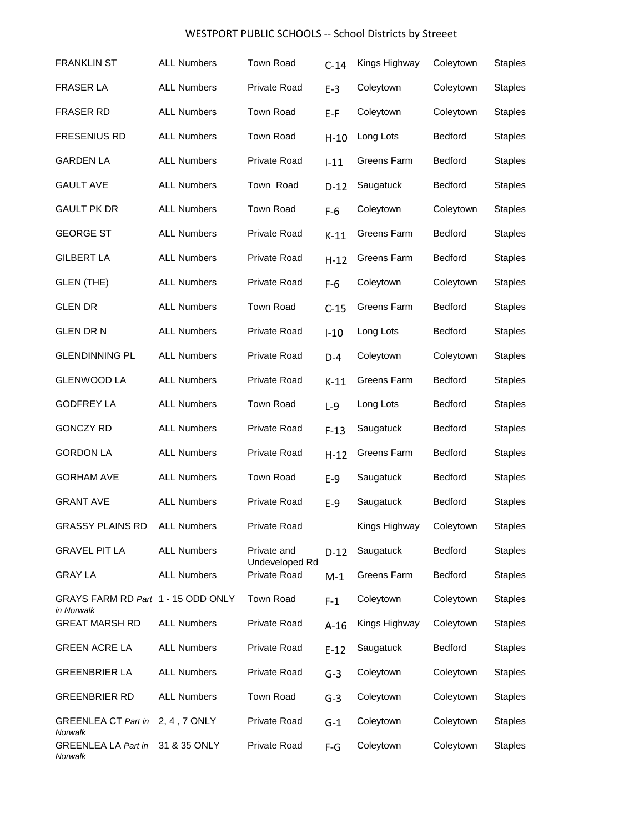| <b>FRANKLIN ST</b>                               | <b>ALL Numbers</b> | Town Road                     | $C-14$ | Kings Highway | Coleytown      | <b>Staples</b> |
|--------------------------------------------------|--------------------|-------------------------------|--------|---------------|----------------|----------------|
| <b>FRASER LA</b>                                 | <b>ALL Numbers</b> | <b>Private Road</b>           | $E-3$  | Coleytown     | Coleytown      | <b>Staples</b> |
| <b>FRASER RD</b>                                 | <b>ALL Numbers</b> | Town Road                     | $E-F$  | Coleytown     | Coleytown      | <b>Staples</b> |
| FRESENIUS RD                                     | <b>ALL Numbers</b> | <b>Town Road</b>              | $H-10$ | Long Lots     | <b>Bedford</b> | <b>Staples</b> |
| <b>GARDEN LA</b>                                 | <b>ALL Numbers</b> | <b>Private Road</b>           | $I-11$ | Greens Farm   | <b>Bedford</b> | <b>Staples</b> |
| <b>GAULT AVE</b>                                 | <b>ALL Numbers</b> | Town Road                     | $D-12$ | Saugatuck     | Bedford        | <b>Staples</b> |
| <b>GAULT PK DR</b>                               | <b>ALL Numbers</b> | Town Road                     | $F-6$  | Coleytown     | Coleytown      | <b>Staples</b> |
| <b>GEORGE ST</b>                                 | <b>ALL Numbers</b> | Private Road                  | $K-11$ | Greens Farm   | <b>Bedford</b> | <b>Staples</b> |
| <b>GILBERT LA</b>                                | <b>ALL Numbers</b> | Private Road                  | $H-12$ | Greens Farm   | <b>Bedford</b> | <b>Staples</b> |
| GLEN (THE)                                       | <b>ALL Numbers</b> | Private Road                  | $F-6$  | Coleytown     | Coleytown      | <b>Staples</b> |
| <b>GLEN DR</b>                                   | <b>ALL Numbers</b> | Town Road                     | $C-15$ | Greens Farm   | Bedford        | <b>Staples</b> |
| <b>GLEN DR N</b>                                 | <b>ALL Numbers</b> | <b>Private Road</b>           | $I-10$ | Long Lots     | Bedford        | <b>Staples</b> |
| <b>GLENDINNING PL</b>                            | <b>ALL Numbers</b> | Private Road                  | $D-4$  | Coleytown     | Coleytown      | <b>Staples</b> |
| <b>GLENWOOD LA</b>                               | <b>ALL Numbers</b> | <b>Private Road</b>           | $K-11$ | Greens Farm   | <b>Bedford</b> | <b>Staples</b> |
| <b>GODFREY LA</b>                                | <b>ALL Numbers</b> | Town Road                     | $L-9$  | Long Lots     | Bedford        | <b>Staples</b> |
| <b>GONCZY RD</b>                                 | <b>ALL Numbers</b> | Private Road                  | $F-13$ | Saugatuck     | <b>Bedford</b> | <b>Staples</b> |
| <b>GORDON LA</b>                                 | <b>ALL Numbers</b> | <b>Private Road</b>           | $H-12$ | Greens Farm   | <b>Bedford</b> | <b>Staples</b> |
| <b>GORHAM AVE</b>                                | <b>ALL Numbers</b> | Town Road                     | $E-9$  | Saugatuck     | <b>Bedford</b> | <b>Staples</b> |
| <b>GRANT AVE</b>                                 | <b>ALL Numbers</b> | Private Road                  | $E-9$  | Saugatuck     | <b>Bedford</b> | <b>Staples</b> |
| <b>GRASSY PLAINS RD</b>                          | <b>ALL Numbers</b> | Private Road                  |        | Kings Highway | Coleytown      | <b>Staples</b> |
| <b>GRAVEL PIT LA</b>                             | <b>ALL Numbers</b> | Private and<br>Undeveloped Rd | $D-12$ | Saugatuck     | Bedford        | <b>Staples</b> |
| <b>GRAY LA</b>                                   | <b>ALL Numbers</b> | Private Road                  | $M-1$  | Greens Farm   | Bedford        | <b>Staples</b> |
| GRAYS FARM RD Part 1 - 15 ODD ONLY<br>in Norwalk |                    | Town Road                     | $F-1$  | Coleytown     | Coleytown      | <b>Staples</b> |
| <b>GREAT MARSH RD</b>                            | <b>ALL Numbers</b> | Private Road                  | $A-16$ | Kings Highway | Coleytown      | <b>Staples</b> |
| <b>GREEN ACRE LA</b>                             | <b>ALL Numbers</b> | Private Road                  | $E-12$ | Saugatuck     | Bedford        | <b>Staples</b> |
| <b>GREENBRIER LA</b>                             | <b>ALL Numbers</b> | Private Road                  | $G-3$  | Coleytown     | Coleytown      | <b>Staples</b> |
| <b>GREENBRIER RD</b>                             | <b>ALL Numbers</b> | Town Road                     | $G-3$  | Coleytown     | Coleytown      | <b>Staples</b> |
| <b>GREENLEA CT Part in</b><br>Norwalk            | 2, 4, 7 ONLY       | Private Road                  | $G-1$  | Coleytown     | Coleytown      | <b>Staples</b> |
| <b>GREENLEA LA Part in</b><br>Norwalk            | 31 & 35 ONLY       | Private Road                  | $F-G$  | Coleytown     | Coleytown      | <b>Staples</b> |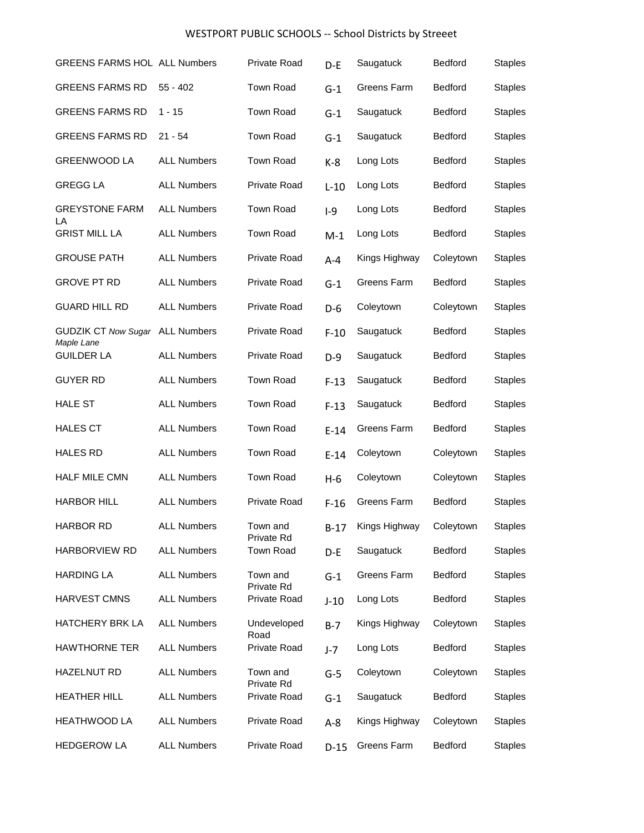| <b>GREENS FARMS HOL ALL Numbers</b>      |                    | <b>Private Road</b>    | $D - E$ | Saugatuck     | Bedford        | <b>Staples</b> |
|------------------------------------------|--------------------|------------------------|---------|---------------|----------------|----------------|
| <b>GREENS FARMS RD</b>                   | $55 - 402$         | Town Road              | $G-1$   | Greens Farm   | <b>Bedford</b> | <b>Staples</b> |
| <b>GREENS FARMS RD</b>                   | $1 - 15$           | Town Road              | $G-1$   | Saugatuck     | <b>Bedford</b> | <b>Staples</b> |
| <b>GREENS FARMS RD</b>                   | $21 - 54$          | Town Road              | $G-1$   | Saugatuck     | <b>Bedford</b> | <b>Staples</b> |
| <b>GREENWOOD LA</b>                      | <b>ALL Numbers</b> | Town Road              | $K-8$   | Long Lots     | <b>Bedford</b> | <b>Staples</b> |
| <b>GREGG LA</b>                          | <b>ALL Numbers</b> | <b>Private Road</b>    | $L-10$  | Long Lots     | <b>Bedford</b> | <b>Staples</b> |
| <b>GREYSTONE FARM</b><br>LA              | <b>ALL Numbers</b> | Town Road              | $I-9$   | Long Lots     | <b>Bedford</b> | <b>Staples</b> |
| <b>GRIST MILL LA</b>                     | <b>ALL Numbers</b> | Town Road              | $M-1$   | Long Lots     | Bedford        | <b>Staples</b> |
| <b>GROUSE PATH</b>                       | <b>ALL Numbers</b> | <b>Private Road</b>    | $A - 4$ | Kings Highway | Coleytown      | <b>Staples</b> |
| <b>GROVE PT RD</b>                       | <b>ALL Numbers</b> | <b>Private Road</b>    | $G-1$   | Greens Farm   | Bedford        | <b>Staples</b> |
| <b>GUARD HILL RD</b>                     | <b>ALL Numbers</b> | <b>Private Road</b>    | $D-6$   | Coleytown     | Coleytown      | <b>Staples</b> |
| <b>GUDZIK CT Now Sugar</b><br>Maple Lane | <b>ALL Numbers</b> | <b>Private Road</b>    | $F-10$  | Saugatuck     | <b>Bedford</b> | <b>Staples</b> |
| <b>GUILDER LA</b>                        | <b>ALL Numbers</b> | <b>Private Road</b>    | $D-9$   | Saugatuck     | <b>Bedford</b> | <b>Staples</b> |
| <b>GUYER RD</b>                          | <b>ALL Numbers</b> | <b>Town Road</b>       | $F-13$  | Saugatuck     | <b>Bedford</b> | <b>Staples</b> |
| <b>HALE ST</b>                           | <b>ALL Numbers</b> | Town Road              | $F-13$  | Saugatuck     | <b>Bedford</b> | <b>Staples</b> |
| <b>HALES CT</b>                          | <b>ALL Numbers</b> | <b>Town Road</b>       | $E-14$  | Greens Farm   | <b>Bedford</b> | <b>Staples</b> |
| <b>HALES RD</b>                          | <b>ALL Numbers</b> | Town Road              | $E-14$  | Coleytown     | Coleytown      | <b>Staples</b> |
| <b>HALF MILE CMN</b>                     | <b>ALL Numbers</b> | Town Road              | $H-6$   | Coleytown     | Coleytown      | <b>Staples</b> |
| <b>HARBOR HILL</b>                       | <b>ALL Numbers</b> | <b>Private Road</b>    | $F-16$  | Greens Farm   | <b>Bedford</b> | <b>Staples</b> |
| <b>HARBOR RD</b>                         | <b>ALL Numbers</b> | Town and<br>Private Rd | $B-17$  | Kings Highway | Coleytown      | <b>Staples</b> |
| <b>HARBORVIEW RD</b>                     | <b>ALL Numbers</b> | Town Road              | $D - E$ | Saugatuck     | Bedford        | <b>Staples</b> |
| <b>HARDING LA</b>                        | <b>ALL Numbers</b> | Town and<br>Private Rd | $G-1$   | Greens Farm   | Bedford        | <b>Staples</b> |
| HARVEST CMNS                             | <b>ALL Numbers</b> | Private Road           | $J-10$  | Long Lots     | Bedford        | <b>Staples</b> |
| HATCHERY BRK LA                          | <b>ALL Numbers</b> | Undeveloped<br>Road    | $B-7$   | Kings Highway | Coleytown      | <b>Staples</b> |
| <b>HAWTHORNE TER</b>                     | <b>ALL Numbers</b> | Private Road           | $J - 7$ | Long Lots     | Bedford        | <b>Staples</b> |
| HAZELNUT RD                              | <b>ALL Numbers</b> | Town and<br>Private Rd | $G-5$   | Coleytown     | Coleytown      | <b>Staples</b> |
| <b>HEATHER HILL</b>                      | <b>ALL Numbers</b> | Private Road           | $G-1$   | Saugatuck     | Bedford        | <b>Staples</b> |
| HEATHWOOD LA                             | <b>ALL Numbers</b> | Private Road           | $A-8$   | Kings Highway | Coleytown      | <b>Staples</b> |
| <b>HEDGEROW LA</b>                       | <b>ALL Numbers</b> | Private Road           | $D-15$  | Greens Farm   | Bedford        | <b>Staples</b> |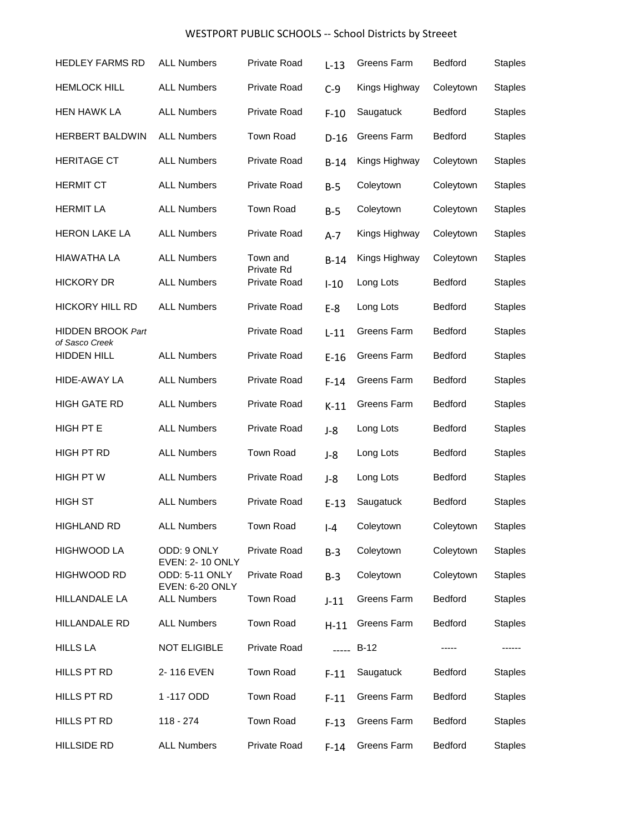| <b>HEDLEY FARMS RD</b>                     | <b>ALL Numbers</b>                       | <b>Private Road</b>               | $L-13$  | Greens Farm   | Bedford        | <b>Staples</b> |
|--------------------------------------------|------------------------------------------|-----------------------------------|---------|---------------|----------------|----------------|
| <b>HEMLOCK HILL</b>                        | <b>ALL Numbers</b>                       | Private Road                      | $C-9$   | Kings Highway | Coleytown      | <b>Staples</b> |
| <b>HEN HAWK LA</b>                         | <b>ALL Numbers</b>                       | <b>Private Road</b>               | $F-10$  | Saugatuck     | <b>Bedford</b> | <b>Staples</b> |
| HERBERT BALDWIN                            | <b>ALL Numbers</b>                       | <b>Town Road</b>                  | $D-16$  | Greens Farm   | <b>Bedford</b> | <b>Staples</b> |
| <b>HERITAGE CT</b>                         | <b>ALL Numbers</b>                       | <b>Private Road</b>               | $B-14$  | Kings Highway | Coleytown      | <b>Staples</b> |
| <b>HERMIT CT</b>                           | <b>ALL Numbers</b>                       | Private Road                      | $B-5$   | Coleytown     | Coleytown      | <b>Staples</b> |
| <b>HERMIT LA</b>                           | <b>ALL Numbers</b>                       | Town Road                         | $B-5$   | Coleytown     | Coleytown      | <b>Staples</b> |
| <b>HERON LAKE LA</b>                       | <b>ALL Numbers</b>                       | Private Road                      | $A-7$   | Kings Highway | Coleytown      | <b>Staples</b> |
| <b>HIAWATHA LA</b>                         | <b>ALL Numbers</b>                       | Town and                          | $B-14$  | Kings Highway | Coleytown      | <b>Staples</b> |
| <b>HICKORY DR</b>                          | <b>ALL Numbers</b>                       | Private Rd<br><b>Private Road</b> | $I-10$  | Long Lots     | Bedford        | <b>Staples</b> |
| <b>HICKORY HILL RD</b>                     | <b>ALL Numbers</b>                       | Private Road                      | $E-8$   | Long Lots     | Bedford        | <b>Staples</b> |
| <b>HIDDEN BROOK Part</b><br>of Sasco Creek |                                          | <b>Private Road</b>               | $L-11$  | Greens Farm   | <b>Bedford</b> | <b>Staples</b> |
| <b>HIDDEN HILL</b>                         | <b>ALL Numbers</b>                       | Private Road                      | $E-16$  | Greens Farm   | Bedford        | <b>Staples</b> |
| HIDE-AWAY LA                               | <b>ALL Numbers</b>                       | Private Road                      | $F-14$  | Greens Farm   | <b>Bedford</b> | <b>Staples</b> |
| <b>HIGH GATE RD</b>                        | <b>ALL Numbers</b>                       | <b>Private Road</b>               | $K-11$  | Greens Farm   | <b>Bedford</b> | <b>Staples</b> |
| HIGH PT E                                  | <b>ALL Numbers</b>                       | <b>Private Road</b>               | $J-8$   | Long Lots     | <b>Bedford</b> | Staples        |
| HIGH PT RD                                 | <b>ALL Numbers</b>                       | <b>Town Road</b>                  | $J-8$   | Long Lots     | <b>Bedford</b> | <b>Staples</b> |
| HIGH PT W                                  | <b>ALL Numbers</b>                       | <b>Private Road</b>               | $J-8$   | Long Lots     | <b>Bedford</b> | <b>Staples</b> |
| <b>HIGH ST</b>                             | <b>ALL Numbers</b>                       | <b>Private Road</b>               | $E-13$  | Saugatuck     | Bedford        | <b>Staples</b> |
| <b>HIGHLAND RD</b>                         | <b>ALL Numbers</b>                       | Town Road                         | $I - 4$ | Coleytown     | Coleytown      | <b>Staples</b> |
| HIGHWOOD LA                                | ODD: 9 ONLY<br><b>EVEN: 2-10 ONLY</b>    | Private Road                      | $B-3$   | Coleytown     | Coleytown      | <b>Staples</b> |
| HIGHWOOD RD                                | <b>ODD: 5-11 ONLY</b><br>EVEN: 6-20 ONLY | <b>Private Road</b>               | $B-3$   | Coleytown     | Coleytown      | <b>Staples</b> |
| HILLANDALE LA                              | <b>ALL Numbers</b>                       | Town Road                         | $J-11$  | Greens Farm   | Bedford        | <b>Staples</b> |
| HILLANDALE RD                              | <b>ALL Numbers</b>                       | Town Road                         | $H-11$  | Greens Farm   | Bedford        | <b>Staples</b> |
| <b>HILLS LA</b>                            | <b>NOT ELIGIBLE</b>                      | Private Road                      |         | ----- B-12    |                |                |
| HILLS PT RD                                | 2-116 EVEN                               | Town Road                         | $F-11$  | Saugatuck     | Bedford        | <b>Staples</b> |
| HILLS PT RD                                | 1-117 ODD                                | Town Road                         | $F-11$  | Greens Farm   | Bedford        | <b>Staples</b> |
| HILLS PT RD                                | 118 - 274                                | Town Road                         | $F-13$  | Greens Farm   | Bedford        | <b>Staples</b> |
| <b>HILLSIDE RD</b>                         | <b>ALL Numbers</b>                       | Private Road                      | $F-14$  | Greens Farm   | Bedford        | <b>Staples</b> |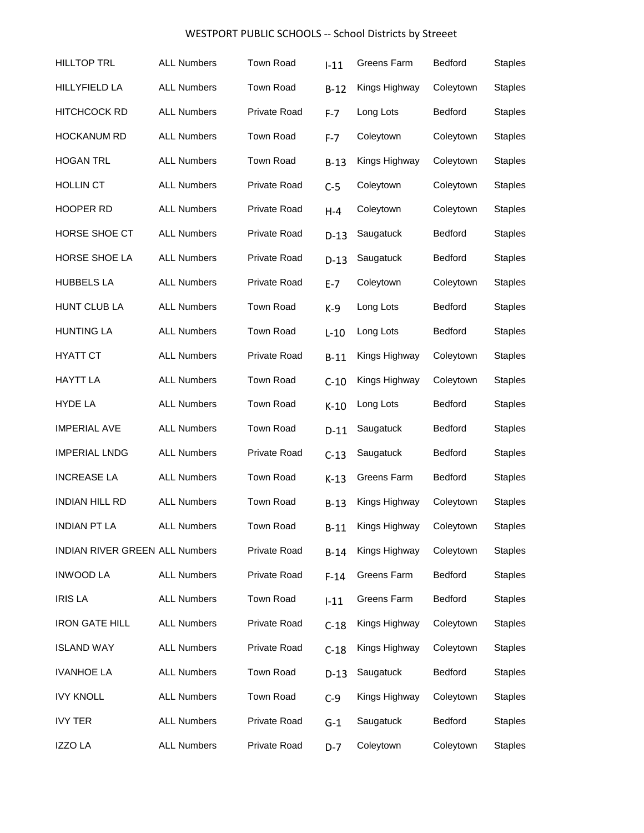| <b>HILLTOP TRL</b>                    | <b>ALL Numbers</b> | Town Road           | $I-11$  | Greens Farm   | Bedford        | <b>Staples</b> |
|---------------------------------------|--------------------|---------------------|---------|---------------|----------------|----------------|
| <b>HILLYFIELD LA</b>                  | <b>ALL Numbers</b> | Town Road           | $B-12$  | Kings Highway | Coleytown      | <b>Staples</b> |
| <b>HITCHCOCK RD</b>                   | <b>ALL Numbers</b> | <b>Private Road</b> | $F-7$   | Long Lots     | <b>Bedford</b> | <b>Staples</b> |
| <b>HOCKANUM RD</b>                    | <b>ALL Numbers</b> | Town Road           | $F - 7$ | Coleytown     | Coleytown      | <b>Staples</b> |
| <b>HOGAN TRL</b>                      | <b>ALL Numbers</b> | <b>Town Road</b>    | $B-13$  | Kings Highway | Coleytown      | <b>Staples</b> |
| <b>HOLLIN CT</b>                      | <b>ALL Numbers</b> | <b>Private Road</b> | $C-5$   | Coleytown     | Coleytown      | <b>Staples</b> |
| <b>HOOPER RD</b>                      | <b>ALL Numbers</b> | <b>Private Road</b> | $H - 4$ | Coleytown     | Coleytown      | <b>Staples</b> |
| HORSE SHOE CT                         | <b>ALL Numbers</b> | <b>Private Road</b> | $D-13$  | Saugatuck     | Bedford        | <b>Staples</b> |
| HORSE SHOE LA                         | <b>ALL Numbers</b> | <b>Private Road</b> | $D-13$  | Saugatuck     | Bedford        | <b>Staples</b> |
| <b>HUBBELS LA</b>                     | <b>ALL Numbers</b> | <b>Private Road</b> | $E-7$   | Coleytown     | Coleytown      | <b>Staples</b> |
| <b>HUNT CLUB LA</b>                   | <b>ALL Numbers</b> | Town Road           | $K-9$   | Long Lots     | Bedford        | <b>Staples</b> |
| <b>HUNTING LA</b>                     | <b>ALL Numbers</b> | Town Road           | $L-10$  | Long Lots     | <b>Bedford</b> | <b>Staples</b> |
| <b>HYATT CT</b>                       | <b>ALL Numbers</b> | <b>Private Road</b> | $B-11$  | Kings Highway | Coleytown      | <b>Staples</b> |
| <b>HAYTT LA</b>                       | <b>ALL Numbers</b> | Town Road           | $C-10$  | Kings Highway | Coleytown      | <b>Staples</b> |
| <b>HYDE LA</b>                        | <b>ALL Numbers</b> | Town Road           | $K-10$  | Long Lots     | Bedford        | <b>Staples</b> |
| <b>IMPERIAL AVE</b>                   | <b>ALL Numbers</b> | Town Road           | $D-11$  | Saugatuck     | <b>Bedford</b> | <b>Staples</b> |
| <b>IMPERIAL LNDG</b>                  | <b>ALL Numbers</b> | <b>Private Road</b> | $C-13$  | Saugatuck     | Bedford        | <b>Staples</b> |
| <b>INCREASE LA</b>                    | <b>ALL Numbers</b> | Town Road           | $K-13$  | Greens Farm   | <b>Bedford</b> | <b>Staples</b> |
| <b>INDIAN HILL RD</b>                 | <b>ALL Numbers</b> | Town Road           | $B-13$  | Kings Highway | Coleytown      | <b>Staples</b> |
| <b>INDIAN PT LA</b>                   | <b>ALL Numbers</b> | Town Road           | $B-11$  | Kings Highway | Coleytown      | <b>Staples</b> |
| <b>INDIAN RIVER GREEN ALL Numbers</b> |                    | Private Road        | $B-14$  | Kings Highway | Coleytown      | <b>Staples</b> |
| <b>INWOOD LA</b>                      | <b>ALL Numbers</b> | Private Road        | $F-14$  | Greens Farm   | Bedford        | <b>Staples</b> |
| <b>IRIS LA</b>                        | <b>ALL Numbers</b> | Town Road           | $1-11$  | Greens Farm   | Bedford        | <b>Staples</b> |
| <b>IRON GATE HILL</b>                 | <b>ALL Numbers</b> | Private Road        | $C-18$  | Kings Highway | Coleytown      | <b>Staples</b> |
| <b>ISLAND WAY</b>                     | <b>ALL Numbers</b> | Private Road        | $C-18$  | Kings Highway | Coleytown      | <b>Staples</b> |
| <b>IVANHOE LA</b>                     | <b>ALL Numbers</b> | Town Road           | $D-13$  | Saugatuck     | Bedford        | <b>Staples</b> |
| <b>IVY KNOLL</b>                      | <b>ALL Numbers</b> | Town Road           | $C-9$   | Kings Highway | Coleytown      | <b>Staples</b> |
| <b>IVY TER</b>                        | <b>ALL Numbers</b> | Private Road        | $G-1$   | Saugatuck     | Bedford        | <b>Staples</b> |
| <b>IZZO LA</b>                        | <b>ALL Numbers</b> | Private Road        | $D-7$   | Coleytown     | Coleytown      | <b>Staples</b> |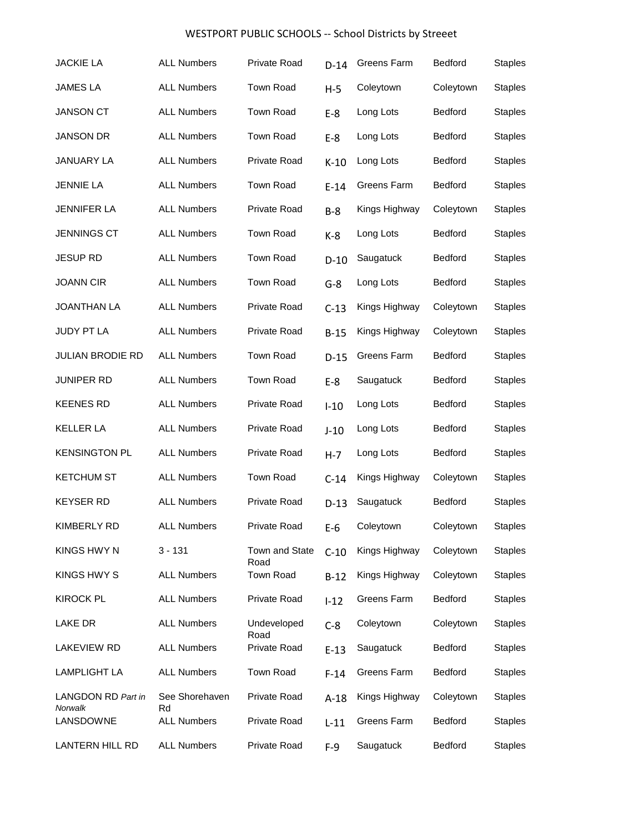| <b>JACKIE LA</b>              | <b>ALL Numbers</b>   | <b>Private Road</b>    | $D-14$  | Greens Farm   | Bedford        | <b>Staples</b> |
|-------------------------------|----------------------|------------------------|---------|---------------|----------------|----------------|
| <b>JAMES LA</b>               | <b>ALL Numbers</b>   | Town Road              | $H-5$   | Coleytown     | Coleytown      | <b>Staples</b> |
| <b>JANSON CT</b>              | <b>ALL Numbers</b>   | Town Road              | $E-8$   | Long Lots     | <b>Bedford</b> | <b>Staples</b> |
| <b>JANSON DR</b>              | <b>ALL Numbers</b>   | Town Road              | $E-8$   | Long Lots     | <b>Bedford</b> | <b>Staples</b> |
| JANUARY LA                    | <b>ALL Numbers</b>   | <b>Private Road</b>    | $K-10$  | Long Lots     | <b>Bedford</b> | <b>Staples</b> |
| <b>JENNIE LA</b>              | <b>ALL Numbers</b>   | Town Road              | $E-14$  | Greens Farm   | <b>Bedford</b> | <b>Staples</b> |
| <b>JENNIFER LA</b>            | <b>ALL Numbers</b>   | <b>Private Road</b>    | $B-8$   | Kings Highway | Coleytown      | <b>Staples</b> |
| <b>JENNINGS CT</b>            | <b>ALL Numbers</b>   | Town Road              | $K-8$   | Long Lots     | <b>Bedford</b> | <b>Staples</b> |
| <b>JESUP RD</b>               | <b>ALL Numbers</b>   | Town Road              | $D-10$  | Saugatuck     | <b>Bedford</b> | <b>Staples</b> |
| <b>JOANN CIR</b>              | <b>ALL Numbers</b>   | Town Road              | $G-8$   | Long Lots     | <b>Bedford</b> | <b>Staples</b> |
| <b>JOANTHAN LA</b>            | <b>ALL Numbers</b>   | Private Road           | $C-13$  | Kings Highway | Coleytown      | <b>Staples</b> |
| JUDY PT LA                    | <b>ALL Numbers</b>   | <b>Private Road</b>    | $B-15$  | Kings Highway | Coleytown      | <b>Staples</b> |
| <b>JULIAN BRODIE RD</b>       | <b>ALL Numbers</b>   | Town Road              | $D-15$  | Greens Farm   | Bedford        | <b>Staples</b> |
| <b>JUNIPER RD</b>             | <b>ALL Numbers</b>   | Town Road              | $E-8$   | Saugatuck     | <b>Bedford</b> | <b>Staples</b> |
| <b>KEENES RD</b>              | <b>ALL Numbers</b>   | <b>Private Road</b>    | $I-10$  | Long Lots     | Bedford        | <b>Staples</b> |
| <b>KELLER LA</b>              | <b>ALL Numbers</b>   | <b>Private Road</b>    | $J-10$  | Long Lots     | <b>Bedford</b> | <b>Staples</b> |
| <b>KENSINGTON PL</b>          | <b>ALL Numbers</b>   | <b>Private Road</b>    | $H - 7$ | Long Lots     | <b>Bedford</b> | <b>Staples</b> |
| <b>KETCHUM ST</b>             | <b>ALL Numbers</b>   | Town Road              | $C-14$  | Kings Highway | Coleytown      | <b>Staples</b> |
| <b>KEYSER RD</b>              | <b>ALL Numbers</b>   | <b>Private Road</b>    | $D-13$  | Saugatuck     | Bedford        | <b>Staples</b> |
| KIMBERLY RD                   | <b>ALL Numbers</b>   | Private Road           | $E-6$   | Coleytown     | Coleytown      | <b>Staples</b> |
| <b>KINGS HWY N</b>            | $3 - 131$            | Town and State<br>Road | $C-10$  | Kings Highway | Coleytown      | <b>Staples</b> |
| KINGS HWY S                   | <b>ALL Numbers</b>   | Town Road              | $B-12$  | Kings Highway | Coleytown      | <b>Staples</b> |
| <b>KIROCK PL</b>              | <b>ALL Numbers</b>   | <b>Private Road</b>    | $I-12$  | Greens Farm   | <b>Bedford</b> | <b>Staples</b> |
| LAKE DR                       | <b>ALL Numbers</b>   | Undeveloped<br>Road    | $C-8$   | Coleytown     | Coleytown      | <b>Staples</b> |
| LAKEVIEW RD                   | <b>ALL Numbers</b>   | Private Road           | $E-13$  | Saugatuck     | Bedford        | <b>Staples</b> |
| <b>LAMPLIGHT LA</b>           | <b>ALL Numbers</b>   | <b>Town Road</b>       | $F-14$  | Greens Farm   | <b>Bedford</b> | <b>Staples</b> |
| LANGDON RD Part in<br>Norwalk | See Shorehaven<br>Rd | <b>Private Road</b>    | $A-18$  | Kings Highway | Coleytown      | <b>Staples</b> |
| LANSDOWNE                     | <b>ALL Numbers</b>   | Private Road           | $L-11$  | Greens Farm   | Bedford        | <b>Staples</b> |
| <b>LANTERN HILL RD</b>        | <b>ALL Numbers</b>   | Private Road           | $F-9$   | Saugatuck     | Bedford        | <b>Staples</b> |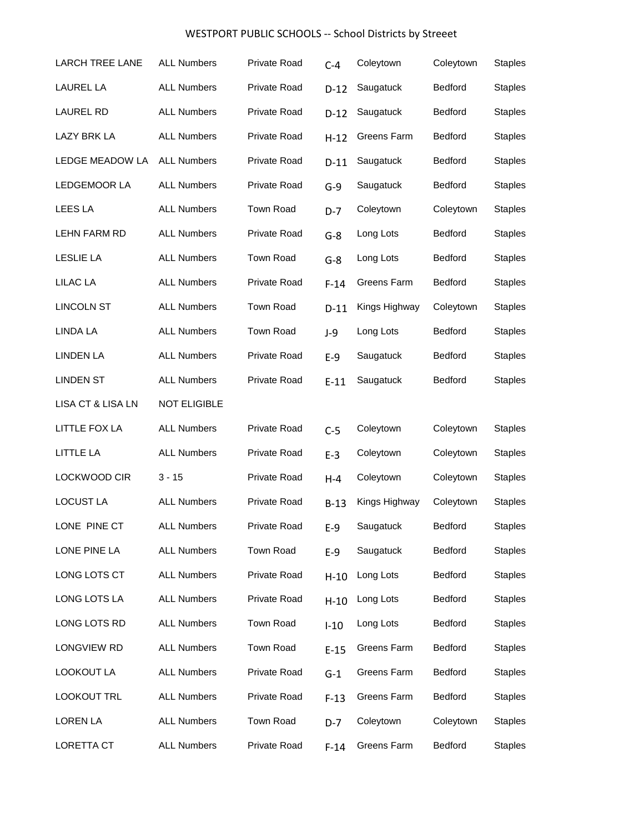| <b>LARCH TREE LANE</b> | <b>ALL Numbers</b>  | <b>Private Road</b> | $C-4$   | Coleytown     | Coleytown      | <b>Staples</b> |
|------------------------|---------------------|---------------------|---------|---------------|----------------|----------------|
| <b>LAUREL LA</b>       | <b>ALL Numbers</b>  | Private Road        | $D-12$  | Saugatuck     | <b>Bedford</b> | <b>Staples</b> |
| LAUREL RD              | <b>ALL Numbers</b>  | Private Road        | $D-12$  | Saugatuck     | Bedford        | <b>Staples</b> |
| LAZY BRK LA            | <b>ALL Numbers</b>  | Private Road        | $H-12$  | Greens Farm   | Bedford        | <b>Staples</b> |
| LEDGE MEADOW LA        | <b>ALL Numbers</b>  | Private Road        | $D-11$  | Saugatuck     | Bedford        | <b>Staples</b> |
| LEDGEMOOR LA           | <b>ALL Numbers</b>  | Private Road        | $G-9$   | Saugatuck     | <b>Bedford</b> | <b>Staples</b> |
| <b>LEES LA</b>         | <b>ALL Numbers</b>  | Town Road           | $D-7$   | Coleytown     | Coleytown      | <b>Staples</b> |
| LEHN FARM RD           | <b>ALL Numbers</b>  | Private Road        | $G-8$   | Long Lots     | <b>Bedford</b> | <b>Staples</b> |
| <b>LESLIE LA</b>       | <b>ALL Numbers</b>  | Town Road           | $G-8$   | Long Lots     | <b>Bedford</b> | <b>Staples</b> |
| <b>LILAC LA</b>        | <b>ALL Numbers</b>  | Private Road        | $F-14$  | Greens Farm   | <b>Bedford</b> | <b>Staples</b> |
| <b>LINCOLN ST</b>      | <b>ALL Numbers</b>  | <b>Town Road</b>    | $D-11$  | Kings Highway | Coleytown      | <b>Staples</b> |
| <b>LINDA LA</b>        | <b>ALL Numbers</b>  | Town Road           | $J-9$   | Long Lots     | Bedford        | <b>Staples</b> |
| <b>LINDEN LA</b>       | <b>ALL Numbers</b>  | Private Road        | $E-9$   | Saugatuck     | <b>Bedford</b> | <b>Staples</b> |
| <b>LINDEN ST</b>       | <b>ALL Numbers</b>  | Private Road        | $E-11$  | Saugatuck     | Bedford        | <b>Staples</b> |
| LISA CT & LISA LN      | <b>NOT ELIGIBLE</b> |                     |         |               |                |                |
| <b>LITTLE FOX LA</b>   | <b>ALL Numbers</b>  | <b>Private Road</b> | $C-5$   | Coleytown     | Coleytown      | <b>Staples</b> |
| LITTLE LA              | <b>ALL Numbers</b>  | Private Road        | $E-3$   | Coleytown     | Coleytown      | <b>Staples</b> |
| LOCKWOOD CIR           | $3 - 15$            | Private Road        | $H - 4$ | Coleytown     | Coleytown      | <b>Staples</b> |
| <b>LOCUST LA</b>       | <b>ALL Numbers</b>  | Private Road        | $B-13$  | Kings Highway | Coleytown      | <b>Staples</b> |
| LONE PINE CT           | <b>ALL Numbers</b>  | Private Road        | $E-9$   | Saugatuck     | Bedford        | <b>Staples</b> |
| LONE PINE LA           | <b>ALL Numbers</b>  | Town Road           | $E-9$   | Saugatuck     | Bedford        | <b>Staples</b> |
| LONG LOTS CT           | <b>ALL Numbers</b>  | Private Road        | $H-10$  | Long Lots     | Bedford        | <b>Staples</b> |
| LONG LOTS LA           | <b>ALL Numbers</b>  | Private Road        | $H-10$  | Long Lots     | Bedford        | <b>Staples</b> |
| LONG LOTS RD           | <b>ALL Numbers</b>  | Town Road           | $I-10$  | Long Lots     | Bedford        | <b>Staples</b> |
| LONGVIEW RD            | <b>ALL Numbers</b>  | Town Road           | $E-15$  | Greens Farm   | Bedford        | <b>Staples</b> |
| LOOKOUT LA             | <b>ALL Numbers</b>  | Private Road        | $G-1$   | Greens Farm   | Bedford        | <b>Staples</b> |
| <b>LOOKOUT TRL</b>     | <b>ALL Numbers</b>  | Private Road        | $F-13$  | Greens Farm   | Bedford        | <b>Staples</b> |
| LOREN LA               | <b>ALL Numbers</b>  | Town Road           | $D-7$   | Coleytown     | Coleytown      | <b>Staples</b> |
| LORETTA CT             | <b>ALL Numbers</b>  | Private Road        | $F-14$  | Greens Farm   | Bedford        | <b>Staples</b> |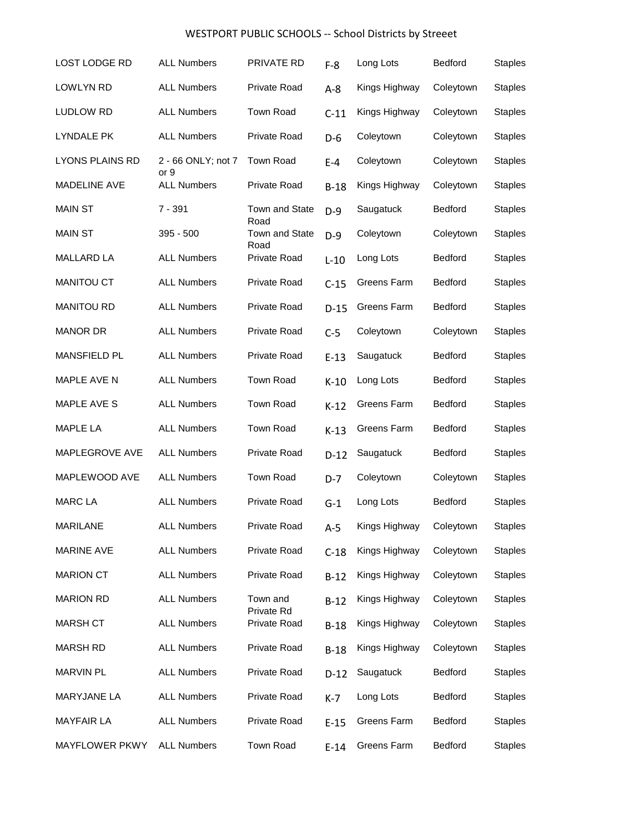| <b>LOST LODGE RD</b>   | <b>ALL Numbers</b>         | PRIVATE RD             | $F-8$  | Long Lots     | <b>Bedford</b> | <b>Staples</b> |
|------------------------|----------------------------|------------------------|--------|---------------|----------------|----------------|
| LOWLYN RD              | <b>ALL Numbers</b>         | <b>Private Road</b>    | $A-8$  | Kings Highway | Coleytown      | <b>Staples</b> |
| LUDLOW RD              | <b>ALL Numbers</b>         | <b>Town Road</b>       | $C-11$ | Kings Highway | Coleytown      | <b>Staples</b> |
| LYNDALE PK             | <b>ALL Numbers</b>         | Private Road           | $D-6$  | Coleytown     | Coleytown      | <b>Staples</b> |
| <b>LYONS PLAINS RD</b> | 2 - 66 ONLY; not 7<br>or 9 | <b>Town Road</b>       | $E-4$  | Coleytown     | Coleytown      | <b>Staples</b> |
| <b>MADELINE AVE</b>    | <b>ALL Numbers</b>         | Private Road           | $B-18$ | Kings Highway | Coleytown      | <b>Staples</b> |
| <b>MAIN ST</b>         | $7 - 391$                  | Town and State<br>Road | $D-9$  | Saugatuck     | Bedford        | <b>Staples</b> |
| <b>MAIN ST</b>         | 395 - 500                  | Town and State<br>Road | $D-9$  | Coleytown     | Coleytown      | <b>Staples</b> |
| MALLARD LA             | <b>ALL Numbers</b>         | Private Road           | $L-10$ | Long Lots     | Bedford        | <b>Staples</b> |
| <b>MANITOU CT</b>      | <b>ALL Numbers</b>         | Private Road           | $C-15$ | Greens Farm   | <b>Bedford</b> | <b>Staples</b> |
| <b>MANITOU RD</b>      | <b>ALL Numbers</b>         | Private Road           | $D-15$ | Greens Farm   | Bedford        | <b>Staples</b> |
| <b>MANOR DR</b>        | <b>ALL Numbers</b>         | <b>Private Road</b>    | $C-5$  | Coleytown     | Coleytown      | <b>Staples</b> |
| MANSFIELD PL           | <b>ALL Numbers</b>         | Private Road           | $E-13$ | Saugatuck     | <b>Bedford</b> | <b>Staples</b> |
| MAPLE AVE N            | <b>ALL Numbers</b>         | <b>Town Road</b>       | $K-10$ | Long Lots     | <b>Bedford</b> | <b>Staples</b> |
| MAPLE AVE S            | <b>ALL Numbers</b>         | <b>Town Road</b>       | $K-12$ | Greens Farm   | <b>Bedford</b> | <b>Staples</b> |
| MAPLE LA               | <b>ALL Numbers</b>         | <b>Town Road</b>       | $K-13$ | Greens Farm   | <b>Bedford</b> | Staples        |
| MAPLEGROVE AVE         | <b>ALL Numbers</b>         | <b>Private Road</b>    | $D-12$ | Saugatuck     | <b>Bedford</b> | <b>Staples</b> |
| MAPLEWOOD AVE          | <b>ALL Numbers</b>         | Town Road              | $D-7$  | Coleytown     | Coleytown      | <b>Staples</b> |
| <b>MARC LA</b>         | <b>ALL Numbers</b>         | <b>Private Road</b>    | $G-1$  | Long Lots     | Bedford        | <b>Staples</b> |
| <b>MARILANE</b>        | <b>ALL Numbers</b>         | Private Road           | $A-5$  | Kings Highway | Coleytown      | <b>Staples</b> |
| <b>MARINE AVE</b>      | <b>ALL Numbers</b>         | Private Road           | $C-18$ | Kings Highway | Coleytown      | <b>Staples</b> |
| <b>MARION CT</b>       | <b>ALL Numbers</b>         | Private Road           | $B-12$ | Kings Highway | Coleytown      | <b>Staples</b> |
| <b>MARION RD</b>       | <b>ALL Numbers</b>         | Town and<br>Private Rd | $B-12$ | Kings Highway | Coleytown      | <b>Staples</b> |
| <b>MARSH CT</b>        | <b>ALL Numbers</b>         | <b>Private Road</b>    | $B-18$ | Kings Highway | Coleytown      | <b>Staples</b> |
| <b>MARSH RD</b>        | <b>ALL Numbers</b>         | Private Road           | $B-18$ | Kings Highway | Coleytown      | <b>Staples</b> |
| <b>MARVIN PL</b>       | <b>ALL Numbers</b>         | Private Road           | $D-12$ | Saugatuck     | Bedford        | <b>Staples</b> |
| MARYJANE LA            | <b>ALL Numbers</b>         | Private Road           | $K-7$  | Long Lots     | Bedford        | <b>Staples</b> |
| <b>MAYFAIR LA</b>      | <b>ALL Numbers</b>         | Private Road           | $E-15$ | Greens Farm   | Bedford        | <b>Staples</b> |
| MAYFLOWER PKWY         | <b>ALL Numbers</b>         | Town Road              | $E-14$ | Greens Farm   | Bedford        | <b>Staples</b> |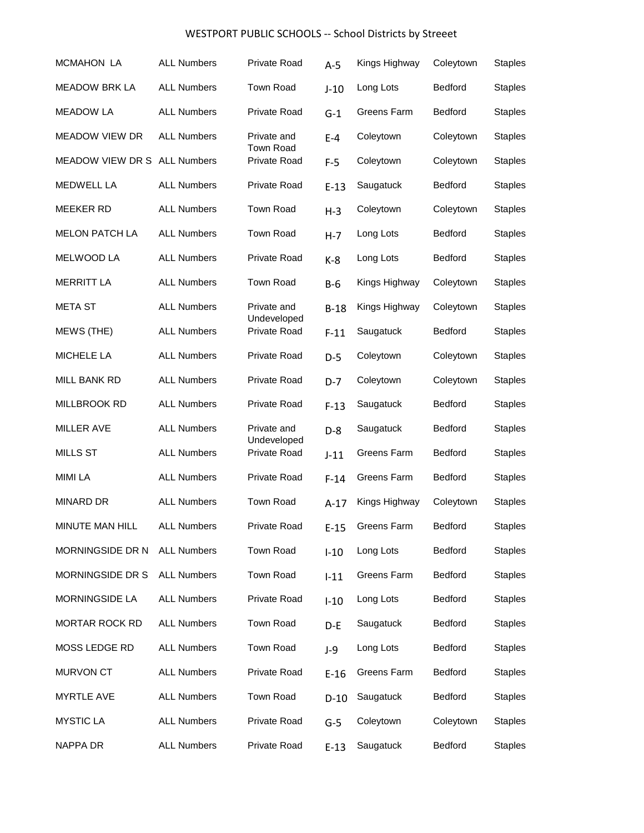| <b>MCMAHON LA</b>     | <b>ALL Numbers</b> | <b>Private Road</b>             | $A-5$   | Kings Highway | Coleytown      | <b>Staples</b> |
|-----------------------|--------------------|---------------------------------|---------|---------------|----------------|----------------|
| <b>MEADOW BRK LA</b>  | <b>ALL Numbers</b> | <b>Town Road</b>                | $J-10$  | Long Lots     | <b>Bedford</b> | <b>Staples</b> |
| <b>MEADOW LA</b>      | <b>ALL Numbers</b> | <b>Private Road</b>             | $G-1$   | Greens Farm   | <b>Bedford</b> | <b>Staples</b> |
| <b>MEADOW VIEW DR</b> | <b>ALL Numbers</b> | Private and<br><b>Town Road</b> | $E-4$   | Coleytown     | Coleytown      | <b>Staples</b> |
| MEADOW VIEW DR S      | <b>ALL Numbers</b> | <b>Private Road</b>             | $F-5$   | Coleytown     | Coleytown      | <b>Staples</b> |
| <b>MEDWELL LA</b>     | <b>ALL Numbers</b> | Private Road                    | $E-13$  | Saugatuck     | <b>Bedford</b> | <b>Staples</b> |
| <b>MEEKER RD</b>      | <b>ALL Numbers</b> | <b>Town Road</b>                | $H-3$   | Coleytown     | Coleytown      | <b>Staples</b> |
| <b>MELON PATCH LA</b> | <b>ALL Numbers</b> | <b>Town Road</b>                | $H - 7$ | Long Lots     | <b>Bedford</b> | <b>Staples</b> |
| <b>MELWOOD LA</b>     | <b>ALL Numbers</b> | <b>Private Road</b>             | $K-8$   | Long Lots     | Bedford        | <b>Staples</b> |
| <b>MERRITT LA</b>     | <b>ALL Numbers</b> | <b>Town Road</b>                | $B-6$   | Kings Highway | Coleytown      | <b>Staples</b> |
| <b>META ST</b>        | <b>ALL Numbers</b> | Private and<br>Undeveloped      | $B-18$  | Kings Highway | Coleytown      | <b>Staples</b> |
| MEWS (THE)            | <b>ALL Numbers</b> | <b>Private Road</b>             | $F-11$  | Saugatuck     | <b>Bedford</b> | <b>Staples</b> |
| <b>MICHELE LA</b>     | <b>ALL Numbers</b> | <b>Private Road</b>             | $D-5$   | Coleytown     | Coleytown      | <b>Staples</b> |
| MILL BANK RD          | <b>ALL Numbers</b> | <b>Private Road</b>             | $D-7$   | Coleytown     | Coleytown      | <b>Staples</b> |
| MILLBROOK RD          | <b>ALL Numbers</b> | <b>Private Road</b>             | $F-13$  | Saugatuck     | <b>Bedford</b> | <b>Staples</b> |
| <b>MILLER AVE</b>     | <b>ALL Numbers</b> | Private and<br>Undeveloped      | $D-8$   | Saugatuck     | Bedford        | <b>Staples</b> |
| <b>MILLS ST</b>       | <b>ALL Numbers</b> | <b>Private Road</b>             | $J-11$  | Greens Farm   | Bedford        | <b>Staples</b> |
| <b>MIMI LA</b>        | <b>ALL Numbers</b> | Private Road                    | $F-14$  | Greens Farm   | Bedford        | <b>Staples</b> |
| <b>MINARD DR</b>      | <b>ALL Numbers</b> | <b>Town Road</b>                | $A-17$  | Kings Highway | Coleytown      | <b>Staples</b> |
| MINUTE MAN HILL       | <b>ALL Numbers</b> | Private Road                    | $E-15$  | Greens Farm   | Bedford        | <b>Staples</b> |
| MORNINGSIDE DR N      | <b>ALL Numbers</b> | Town Road                       | $I-10$  | Long Lots     | Bedford        | <b>Staples</b> |
| MORNINGSIDE DR S      | <b>ALL Numbers</b> | Town Road                       | $I-11$  | Greens Farm   | Bedford        | <b>Staples</b> |
| MORNINGSIDE LA        | <b>ALL Numbers</b> | Private Road                    | $I-10$  | Long Lots     | Bedford        | <b>Staples</b> |
| MORTAR ROCK RD        | <b>ALL Numbers</b> | Town Road                       | $D - E$ | Saugatuck     | Bedford        | <b>Staples</b> |
| MOSS LEDGE RD         | <b>ALL Numbers</b> | Town Road                       | $J-9$   | Long Lots     | Bedford        | <b>Staples</b> |
| <b>MURVON CT</b>      | <b>ALL Numbers</b> | Private Road                    | $E-16$  | Greens Farm   | Bedford        | <b>Staples</b> |
| <b>MYRTLE AVE</b>     | <b>ALL Numbers</b> | Town Road                       | $D-10$  | Saugatuck     | Bedford        | <b>Staples</b> |
| <b>MYSTIC LA</b>      | <b>ALL Numbers</b> | Private Road                    | $G-5$   | Coleytown     | Coleytown      | <b>Staples</b> |
| NAPPA DR              | <b>ALL Numbers</b> | Private Road                    | $E-13$  | Saugatuck     | Bedford        | <b>Staples</b> |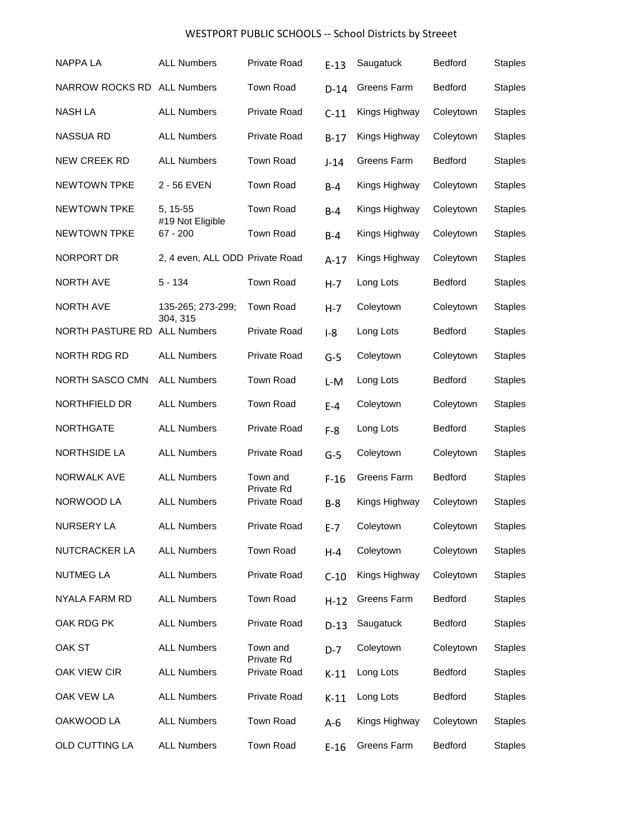| <b>NAPPALA</b>         | <b>ALL Numbers</b>              | <b>Private Road</b>    | $E-13$  | Saugatuck     | Bedford        | <b>Staples</b> |
|------------------------|---------------------------------|------------------------|---------|---------------|----------------|----------------|
| NARROW ROCKS RD        | <b>ALL Numbers</b>              | <b>Town Road</b>       | $D-14$  | Greens Farm   | <b>Bedford</b> | <b>Staples</b> |
| NASH LA                | <b>ALL Numbers</b>              | Private Road           | $C-11$  | Kings Highway | Coleytown      | <b>Staples</b> |
| NASSUA RD              | <b>ALL Numbers</b>              | <b>Private Road</b>    | $B-17$  | Kings Highway | Coleytown      | <b>Staples</b> |
| NEW CREEK RD           | <b>ALL Numbers</b>              | Town Road              | $J-14$  | Greens Farm   | <b>Bedford</b> | <b>Staples</b> |
| <b>NEWTOWN TPKE</b>    | 2 - 56 EVEN                     | Town Road              | $B-4$   | Kings Highway | Coleytown      | <b>Staples</b> |
| <b>NEWTOWN TPKE</b>    | 5, 15-55<br>#19 Not Eligible    | Town Road              | $B-4$   | Kings Highway | Coleytown      | <b>Staples</b> |
| <b>NEWTOWN TPKE</b>    | $67 - 200$                      | Town Road              | $B-4$   | Kings Highway | Coleytown      | <b>Staples</b> |
| NORPORT DR             | 2, 4 even, ALL ODD Private Road |                        | $A-17$  | Kings Highway | Coleytown      | <b>Staples</b> |
| <b>NORTH AVE</b>       | $5 - 134$                       | Town Road              | $H - 7$ | Long Lots     | Bedford        | <b>Staples</b> |
| <b>NORTH AVE</b>       | 135-265; 273-299;<br>304, 315   | <b>Town Road</b>       | $H - 7$ | Coleytown     | Coleytown      | <b>Staples</b> |
| NORTH PASTURE RD       | <b>ALL Numbers</b>              | Private Road           | $I-8$   | Long Lots     | Bedford        | <b>Staples</b> |
| NORTH RDG RD           | <b>ALL Numbers</b>              | <b>Private Road</b>    | $G-5$   | Coleytown     | Coleytown      | <b>Staples</b> |
| <b>NORTH SASCO CMN</b> | <b>ALL Numbers</b>              | <b>Town Road</b>       | L-M     | Long Lots     | Bedford        | <b>Staples</b> |
| NORTHFIELD DR          | <b>ALL Numbers</b>              | <b>Town Road</b>       | $E-4$   | Coleytown     | Coleytown      | <b>Staples</b> |
| <b>NORTHGATE</b>       | <b>ALL Numbers</b>              | Private Road           | $F-8$   | Long Lots     | <b>Bedford</b> | <b>Staples</b> |
| <b>NORTHSIDE LA</b>    | <b>ALL Numbers</b>              | <b>Private Road</b>    | $G-5$   | Coleytown     | Coleytown      | <b>Staples</b> |
| NORWALK AVE            | <b>ALL Numbers</b>              | Town and<br>Private Rd | $F-16$  | Greens Farm   | Bedford        | <b>Staples</b> |
| NORWOOD LA             | <b>ALL Numbers</b>              | <b>Private Road</b>    | $B-8$   | Kings Highway | Coleytown      | <b>Staples</b> |
| NURSERY LA             | <b>ALL Numbers</b>              | Private Road           | E-7     | Coleytown     | Coleytown      | <b>Staples</b> |
| <b>NUTCRACKER LA</b>   | <b>ALL Numbers</b>              | Town Road              | $H - 4$ | Coleytown     | Coleytown      | <b>Staples</b> |
| <b>NUTMEG LA</b>       | <b>ALL Numbers</b>              | Private Road           | $C-10$  | Kings Highway | Coleytown      | <b>Staples</b> |
| NYALA FARM RD          | <b>ALL Numbers</b>              | Town Road              | $H-12$  | Greens Farm   | Bedford        | <b>Staples</b> |
| OAK RDG PK             | <b>ALL Numbers</b>              | Private Road           | $D-13$  | Saugatuck     | Bedford        | <b>Staples</b> |
| OAK ST                 | <b>ALL Numbers</b>              | Town and<br>Private Rd | $D-7$   | Coleytown     | Coleytown      | <b>Staples</b> |
| OAK VIEW CIR           | <b>ALL Numbers</b>              | Private Road           | $K-11$  | Long Lots     | Bedford        | <b>Staples</b> |
| OAK VEW LA             | <b>ALL Numbers</b>              | Private Road           | $K-11$  | Long Lots     | <b>Bedford</b> | <b>Staples</b> |
| OAKWOOD LA             | <b>ALL Numbers</b>              | Town Road              | $A-6$   | Kings Highway | Coleytown      | <b>Staples</b> |
| OLD CUTTING LA         | <b>ALL Numbers</b>              | Town Road              | $E-16$  | Greens Farm   | Bedford        | <b>Staples</b> |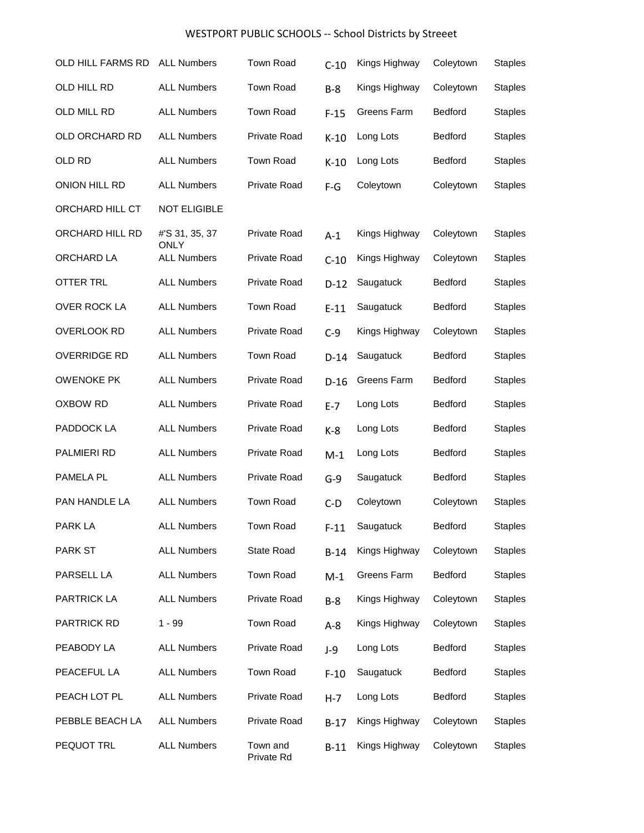| OLD HILL FARMS RD   | <b>ALL Numbers</b>     | Town Road              | $C-10$  | Kings Highway | Coleytown      | <b>Staples</b> |
|---------------------|------------------------|------------------------|---------|---------------|----------------|----------------|
| OLD HILL RD         | <b>ALL Numbers</b>     | Town Road              | $B-8$   | Kings Highway | Coleytown      | <b>Staples</b> |
| OLD MILL RD         | <b>ALL Numbers</b>     | <b>Town Road</b>       | $F-15$  | Greens Farm   | <b>Bedford</b> | <b>Staples</b> |
| OLD ORCHARD RD      | <b>ALL Numbers</b>     | <b>Private Road</b>    | $K-10$  | Long Lots     | <b>Bedford</b> | <b>Staples</b> |
| OLD RD              | <b>ALL Numbers</b>     | Town Road              | $K-10$  | Long Lots     | <b>Bedford</b> | <b>Staples</b> |
| ONION HILL RD       | <b>ALL Numbers</b>     | Private Road           | $F-G$   | Coleytown     | Coleytown      | <b>Staples</b> |
| ORCHARD HILL CT     | <b>NOT ELIGIBLE</b>    |                        |         |               |                |                |
| ORCHARD HILL RD     | #'S 31, 35, 37<br>ONLY | <b>Private Road</b>    | $A-1$   | Kings Highway | Coleytown      | <b>Staples</b> |
| ORCHARD LA          | <b>ALL Numbers</b>     | Private Road           | $C-10$  | Kings Highway | Coleytown      | <b>Staples</b> |
| <b>OTTER TRL</b>    | <b>ALL Numbers</b>     | Private Road           | $D-12$  | Saugatuck     | Bedford        | <b>Staples</b> |
| <b>OVER ROCK LA</b> | <b>ALL Numbers</b>     | Town Road              | $E-11$  | Saugatuck     | <b>Bedford</b> | <b>Staples</b> |
| <b>OVERLOOK RD</b>  | <b>ALL Numbers</b>     | Private Road           | $C-9$   | Kings Highway | Coleytown      | <b>Staples</b> |
| <b>OVERRIDGE RD</b> | <b>ALL Numbers</b>     | Town Road              | $D-14$  | Saugatuck     | <b>Bedford</b> | <b>Staples</b> |
| <b>OWENOKE PK</b>   | <b>ALL Numbers</b>     | <b>Private Road</b>    | $D-16$  | Greens Farm   | <b>Bedford</b> | <b>Staples</b> |
| <b>OXBOW RD</b>     | <b>ALL Numbers</b>     | <b>Private Road</b>    | $E - 7$ | Long Lots     | <b>Bedford</b> | <b>Staples</b> |
| PADDOCK LA          | <b>ALL Numbers</b>     | <b>Private Road</b>    | $K-8$   | Long Lots     | <b>Bedford</b> | <b>Staples</b> |
| PALMIERI RD         | <b>ALL Numbers</b>     | <b>Private Road</b>    | $M-1$   | Long Lots     | <b>Bedford</b> | <b>Staples</b> |
| PAMELA PL           | <b>ALL Numbers</b>     | <b>Private Road</b>    | $G-9$   | Saugatuck     | <b>Bedford</b> | <b>Staples</b> |
| PAN HANDLE LA       | <b>ALL Numbers</b>     | Town Road              | $C-D$   | Coleytown     | Coleytown      | <b>Staples</b> |
| PARK LA             | <b>ALL Numbers</b>     | Town Road              | $F-11$  | Saugatuck     | Bedford        | <b>Staples</b> |
| PARK ST             | <b>ALL Numbers</b>     | State Road             | $B-14$  | Kings Highway | Coleytown      | <b>Staples</b> |
| PARSELL LA          | <b>ALL Numbers</b>     | Town Road              | $M-1$   | Greens Farm   | Bedford        | <b>Staples</b> |
| PARTRICK LA         | <b>ALL Numbers</b>     | Private Road           | $B-8$   | Kings Highway | Coleytown      | <b>Staples</b> |
| PARTRICK RD         | $1 - 99$               | Town Road              | $A-8$   | Kings Highway | Coleytown      | <b>Staples</b> |
| PEABODY LA          | <b>ALL Numbers</b>     | Private Road           | $J-9$   | Long Lots     | Bedford        | <b>Staples</b> |
| PEACEFUL LA         | <b>ALL Numbers</b>     | Town Road              | $F-10$  | Saugatuck     | Bedford        | <b>Staples</b> |
| PEACH LOT PL        | <b>ALL Numbers</b>     | Private Road           | H-7     | Long Lots     | <b>Bedford</b> | <b>Staples</b> |
| PEBBLE BEACH LA     | <b>ALL Numbers</b>     | Private Road           | $B-17$  | Kings Highway | Coleytown      | <b>Staples</b> |
| PEQUOT TRL          | <b>ALL Numbers</b>     | Town and<br>Private Rd | $B-11$  | Kings Highway | Coleytown      | <b>Staples</b> |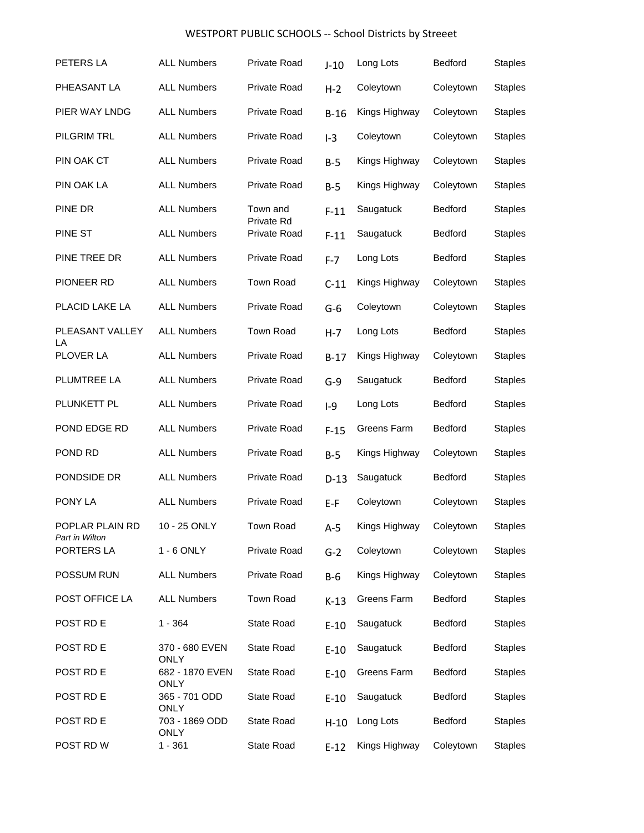| PETERS LA                         | <b>ALL Numbers</b>             | <b>Private Road</b>    | $J-10$  | Long Lots     | Bedford        | <b>Staples</b> |
|-----------------------------------|--------------------------------|------------------------|---------|---------------|----------------|----------------|
| PHEASANT LA                       | <b>ALL Numbers</b>             | <b>Private Road</b>    | $H-2$   | Coleytown     | Coleytown      | <b>Staples</b> |
| PIER WAY LNDG                     | <b>ALL Numbers</b>             | <b>Private Road</b>    | $B-16$  | Kings Highway | Coleytown      | <b>Staples</b> |
| PILGRIM TRL                       | <b>ALL Numbers</b>             | <b>Private Road</b>    | $I-3$   | Coleytown     | Coleytown      | <b>Staples</b> |
| PIN OAK CT                        | <b>ALL Numbers</b>             | <b>Private Road</b>    | $B-5$   | Kings Highway | Coleytown      | <b>Staples</b> |
| PIN OAK LA                        | <b>ALL Numbers</b>             | Private Road           | $B-5$   | Kings Highway | Coleytown      | <b>Staples</b> |
| PINE DR                           | <b>ALL Numbers</b>             | Town and<br>Private Rd | $F-11$  | Saugatuck     | <b>Bedford</b> | <b>Staples</b> |
| PINE ST                           | <b>ALL Numbers</b>             | <b>Private Road</b>    | $F-11$  | Saugatuck     | Bedford        | <b>Staples</b> |
| PINE TREE DR                      | <b>ALL Numbers</b>             | <b>Private Road</b>    | $F-7$   | Long Lots     | <b>Bedford</b> | <b>Staples</b> |
| PIONEER RD                        | <b>ALL Numbers</b>             | <b>Town Road</b>       | $C-11$  | Kings Highway | Coleytown      | <b>Staples</b> |
| PLACID LAKE LA                    | <b>ALL Numbers</b>             | <b>Private Road</b>    | $G-6$   | Coleytown     | Coleytown      | <b>Staples</b> |
| PLEASANT VALLEY<br>LA             | <b>ALL Numbers</b>             | Town Road              | $H - 7$ | Long Lots     | <b>Bedford</b> | <b>Staples</b> |
| PLOVER LA                         | <b>ALL Numbers</b>             | Private Road           | $B-17$  | Kings Highway | Coleytown      | <b>Staples</b> |
| PLUMTREE LA                       | <b>ALL Numbers</b>             | Private Road           | $G-9$   | Saugatuck     | Bedford        | <b>Staples</b> |
| PLUNKETT PL                       | <b>ALL Numbers</b>             | Private Road           | $I-9$   | Long Lots     | <b>Bedford</b> | <b>Staples</b> |
| POND EDGE RD                      | <b>ALL Numbers</b>             | Private Road           | $F-15$  | Greens Farm   | <b>Bedford</b> | <b>Staples</b> |
| POND RD                           | <b>ALL Numbers</b>             | Private Road           | $B-5$   | Kings Highway | Coleytown      | <b>Staples</b> |
| PONDSIDE DR                       | <b>ALL Numbers</b>             | <b>Private Road</b>    | $D-13$  | Saugatuck     | Bedford        | <b>Staples</b> |
| PONY LA                           | <b>ALL Numbers</b>             | <b>Private Road</b>    | $E-F$   | Coleytown     | Coleytown      | <b>Staples</b> |
| POPLAR PLAIN RD<br>Part in Wilton | 10 - 25 ONLY                   | Town Road              | $A-5$   | Kings Highway | Coleytown      | <b>Staples</b> |
| PORTERS LA                        | 1 - 6 ONLY                     | Private Road           | $G-2$   | Coleytown     | Coleytown      | <b>Staples</b> |
| POSSUM RUN                        | <b>ALL Numbers</b>             | Private Road           | $B-6$   | Kings Highway | Coleytown      | <b>Staples</b> |
| POST OFFICE LA                    | <b>ALL Numbers</b>             | Town Road              | $K-13$  | Greens Farm   | Bedford        | <b>Staples</b> |
| POST RD E                         | $1 - 364$                      | State Road             | $E-10$  | Saugatuck     | Bedford        | <b>Staples</b> |
| POST RD E                         | 370 - 680 EVEN<br><b>ONLY</b>  | State Road             | $E-10$  | Saugatuck     | <b>Bedford</b> | <b>Staples</b> |
| POST RD E                         | 682 - 1870 EVEN<br><b>ONLY</b> | State Road             | $E-10$  | Greens Farm   | <b>Bedford</b> | <b>Staples</b> |
| POST RD E                         | 365 - 701 ODD<br><b>ONLY</b>   | State Road             | $E-10$  | Saugatuck     | <b>Bedford</b> | <b>Staples</b> |
| POST RD E                         | 703 - 1869 ODD<br><b>ONLY</b>  | State Road             | $H-10$  | Long Lots     | <b>Bedford</b> | <b>Staples</b> |
| POST RD W                         | $1 - 361$                      | State Road             | $E-12$  | Kings Highway | Coleytown      | <b>Staples</b> |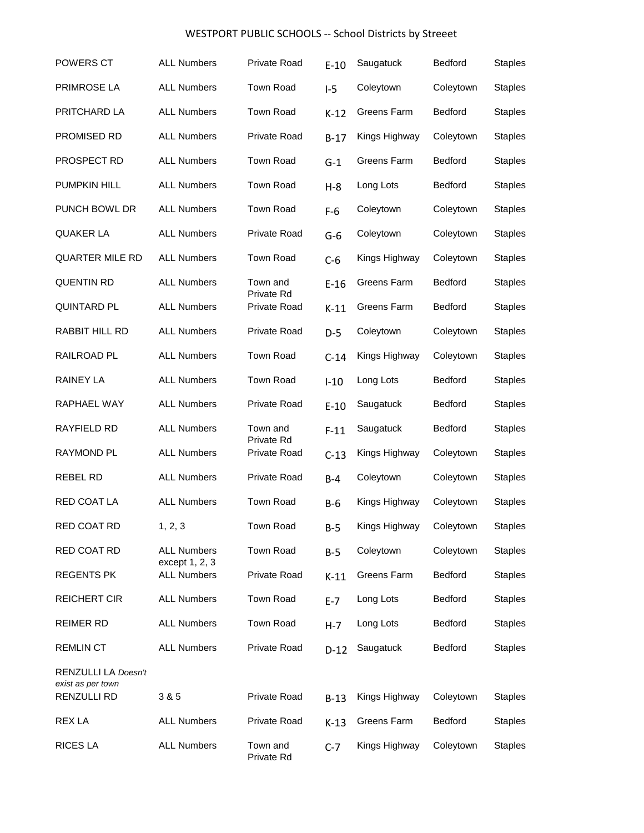| <b>POWERS CT</b>                         | <b>ALL Numbers</b>                   | <b>Private Road</b>    | $E-10$  | Saugatuck     | <b>Bedford</b> | <b>Staples</b> |
|------------------------------------------|--------------------------------------|------------------------|---------|---------------|----------------|----------------|
| PRIMROSE LA                              | <b>ALL Numbers</b>                   | <b>Town Road</b>       | $I-5$   | Coleytown     | Coleytown      | <b>Staples</b> |
| PRITCHARD LA                             | <b>ALL Numbers</b>                   | <b>Town Road</b>       | $K-12$  | Greens Farm   | <b>Bedford</b> | <b>Staples</b> |
| PROMISED RD                              | <b>ALL Numbers</b>                   | <b>Private Road</b>    | $B-17$  | Kings Highway | Coleytown      | <b>Staples</b> |
| PROSPECT RD                              | <b>ALL Numbers</b>                   | <b>Town Road</b>       | $G-1$   | Greens Farm   | <b>Bedford</b> | <b>Staples</b> |
| <b>PUMPKIN HILL</b>                      | <b>ALL Numbers</b>                   | <b>Town Road</b>       | $H-8$   | Long Lots     | <b>Bedford</b> | <b>Staples</b> |
| PUNCH BOWL DR                            | <b>ALL Numbers</b>                   | <b>Town Road</b>       | $F-6$   | Coleytown     | Coleytown      | <b>Staples</b> |
| <b>QUAKER LA</b>                         | <b>ALL Numbers</b>                   | <b>Private Road</b>    | $G-6$   | Coleytown     | Coleytown      | <b>Staples</b> |
| <b>QUARTER MILE RD</b>                   | <b>ALL Numbers</b>                   | Town Road              | $C-6$   | Kings Highway | Coleytown      | <b>Staples</b> |
| <b>QUENTIN RD</b>                        | <b>ALL Numbers</b>                   | Town and<br>Private Rd | $E-16$  | Greens Farm   | <b>Bedford</b> | <b>Staples</b> |
| <b>QUINTARD PL</b>                       | <b>ALL Numbers</b>                   | <b>Private Road</b>    | $K-11$  | Greens Farm   | <b>Bedford</b> | <b>Staples</b> |
| RABBIT HILL RD                           | <b>ALL Numbers</b>                   | <b>Private Road</b>    | $D-5$   | Coleytown     | Coleytown      | <b>Staples</b> |
| RAILROAD PL                              | <b>ALL Numbers</b>                   | Town Road              | $C-14$  | Kings Highway | Coleytown      | <b>Staples</b> |
| RAINEY LA                                | <b>ALL Numbers</b>                   | <b>Town Road</b>       | $I-10$  | Long Lots     | <b>Bedford</b> | <b>Staples</b> |
| RAPHAEL WAY                              | <b>ALL Numbers</b>                   | <b>Private Road</b>    | $E-10$  | Saugatuck     | <b>Bedford</b> | <b>Staples</b> |
| RAYFIELD RD                              | <b>ALL Numbers</b>                   | Town and<br>Private Rd | $F-11$  | Saugatuck     | <b>Bedford</b> | <b>Staples</b> |
| <b>RAYMOND PL</b>                        | <b>ALL Numbers</b>                   | <b>Private Road</b>    | $C-13$  | Kings Highway | Coleytown      | <b>Staples</b> |
| REBEL RD                                 | <b>ALL Numbers</b>                   | <b>Private Road</b>    | $B-4$   | Coleytown     | Coleytown      | <b>Staples</b> |
| RED COAT LA                              | <b>ALL Numbers</b>                   | <b>Town Road</b>       | $B-6$   | Kings Highway | Coleytown      | <b>Staples</b> |
| RED COAT RD                              | 1, 2, 3                              | Town Road              | $B-5$   | Kings Highway | Coleytown      | <b>Staples</b> |
| RED COAT RD                              | <b>ALL Numbers</b><br>except 1, 2, 3 | <b>Town Road</b>       | $B-5$   | Coleytown     | Coleytown      | <b>Staples</b> |
| <b>REGENTS PK</b>                        | <b>ALL Numbers</b>                   | Private Road           | $K-11$  | Greens Farm   | Bedford        | <b>Staples</b> |
| <b>REICHERT CIR</b>                      | <b>ALL Numbers</b>                   | <b>Town Road</b>       | $E - 7$ | Long Lots     | Bedford        | <b>Staples</b> |
| <b>REIMER RD</b>                         | <b>ALL Numbers</b>                   | Town Road              | $H - 7$ | Long Lots     | Bedford        | <b>Staples</b> |
| <b>REMLIN CT</b>                         | <b>ALL Numbers</b>                   | Private Road           | $D-12$  | Saugatuck     | Bedford        | <b>Staples</b> |
| RENZULLI LA Doesn't<br>exist as per town |                                      |                        |         |               |                |                |
| RENZULLI RD                              | 3 & 5                                | <b>Private Road</b>    | $B-13$  | Kings Highway | Coleytown      | <b>Staples</b> |
| <b>REX LA</b>                            | <b>ALL Numbers</b>                   | <b>Private Road</b>    | $K-13$  | Greens Farm   | Bedford        | <b>Staples</b> |
| <b>RICES LA</b>                          | <b>ALL Numbers</b>                   | Town and<br>Private Rd | $C-7$   | Kings Highway | Coleytown      | <b>Staples</b> |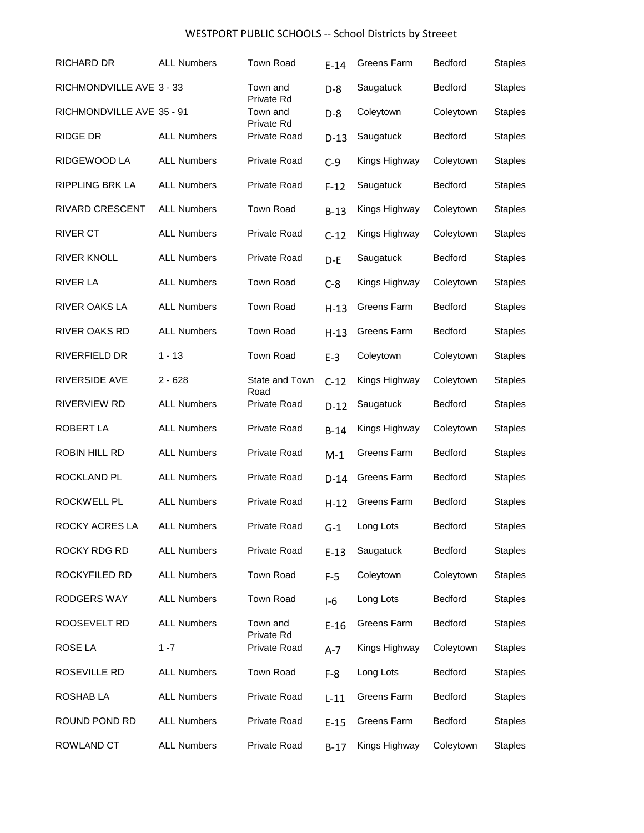| RICHARD DR                | <b>ALL Numbers</b> | <b>Town Road</b>       | $E-14$  | Greens Farm   | <b>Bedford</b> | <b>Staples</b> |
|---------------------------|--------------------|------------------------|---------|---------------|----------------|----------------|
| RICHMONDVILLE AVE 3 - 33  |                    | Town and<br>Private Rd | $D-8$   | Saugatuck     | <b>Bedford</b> | <b>Staples</b> |
| RICHMONDVILLE AVE 35 - 91 |                    | Town and<br>Private Rd | $D-8$   | Coleytown     | Coleytown      | <b>Staples</b> |
| RIDGE DR                  | <b>ALL Numbers</b> | Private Road           | $D-13$  | Saugatuck     | <b>Bedford</b> | <b>Staples</b> |
| RIDGEWOOD LA              | <b>ALL Numbers</b> | <b>Private Road</b>    | $C-9$   | Kings Highway | Coleytown      | <b>Staples</b> |
| RIPPLING BRK LA           | <b>ALL Numbers</b> | <b>Private Road</b>    | $F-12$  | Saugatuck     | <b>Bedford</b> | <b>Staples</b> |
| RIVARD CRESCENT           | <b>ALL Numbers</b> | <b>Town Road</b>       | $B-13$  | Kings Highway | Coleytown      | <b>Staples</b> |
| <b>RIVER CT</b>           | <b>ALL Numbers</b> | <b>Private Road</b>    | $C-12$  | Kings Highway | Coleytown      | <b>Staples</b> |
| RIVER KNOLL               | <b>ALL Numbers</b> | <b>Private Road</b>    | $D - E$ | Saugatuck     | <b>Bedford</b> | <b>Staples</b> |
| <b>RIVER LA</b>           | <b>ALL Numbers</b> | <b>Town Road</b>       | $C-8$   | Kings Highway | Coleytown      | <b>Staples</b> |
| <b>RIVER OAKS LA</b>      | <b>ALL Numbers</b> | Town Road              | $H-13$  | Greens Farm   | <b>Bedford</b> | <b>Staples</b> |
| RIVER OAKS RD             | <b>ALL Numbers</b> | Town Road              | $H-13$  | Greens Farm   | Bedford        | <b>Staples</b> |
| <b>RIVERFIELD DR</b>      | $1 - 13$           | Town Road              | $E-3$   | Coleytown     | Coleytown      | <b>Staples</b> |
| <b>RIVERSIDE AVE</b>      | $2 - 628$          | State and Town<br>Road | $C-12$  | Kings Highway | Coleytown      | <b>Staples</b> |
| <b>RIVERVIEW RD</b>       | <b>ALL Numbers</b> | Private Road           | $D-12$  | Saugatuck     | <b>Bedford</b> | <b>Staples</b> |
| <b>ROBERT LA</b>          | <b>ALL Numbers</b> | Private Road           | $B-14$  | Kings Highway | Coleytown      | <b>Staples</b> |
| ROBIN HILL RD             | <b>ALL Numbers</b> | Private Road           | $M-1$   | Greens Farm   | <b>Bedford</b> | <b>Staples</b> |
| ROCKLAND PL               | <b>ALL Numbers</b> | <b>Private Road</b>    | $D-14$  | Greens Farm   | <b>Bedford</b> | <b>Staples</b> |
| <b>ROCKWELL PL</b>        | <b>ALL Numbers</b> | <b>Private Road</b>    | $H-12$  | Greens Farm   | <b>Bedford</b> | <b>Staples</b> |
| ROCKY ACRES LA            | <b>ALL Numbers</b> | Private Road           | $G-1$   | Long Lots     | Bedford        | <b>Staples</b> |
| ROCKY RDG RD              | <b>ALL Numbers</b> | Private Road           | $E-13$  | Saugatuck     | Bedford        | <b>Staples</b> |
| ROCKYFILED RD             | <b>ALL Numbers</b> | Town Road              | $F-5$   | Coleytown     | Coleytown      | <b>Staples</b> |
| RODGERS WAY               | <b>ALL Numbers</b> | Town Road              | $I-6$   | Long Lots     | Bedford        | <b>Staples</b> |
| ROOSEVELT RD              | <b>ALL Numbers</b> | Town and<br>Private Rd | $E-16$  | Greens Farm   | Bedford        | <b>Staples</b> |
| ROSE LA                   | $1 - 7$            | Private Road           | $A-7$   | Kings Highway | Coleytown      | <b>Staples</b> |
| ROSEVILLE RD              | <b>ALL Numbers</b> | <b>Town Road</b>       | $F-8$   | Long Lots     | <b>Bedford</b> | <b>Staples</b> |
| ROSHAB LA                 | <b>ALL Numbers</b> | Private Road           | $L-11$  | Greens Farm   | Bedford        | <b>Staples</b> |
| ROUND POND RD             | <b>ALL Numbers</b> | Private Road           | $E-15$  | Greens Farm   | <b>Bedford</b> | <b>Staples</b> |
| ROWLAND CT                | <b>ALL Numbers</b> | Private Road           | $B-17$  | Kings Highway | Coleytown      | <b>Staples</b> |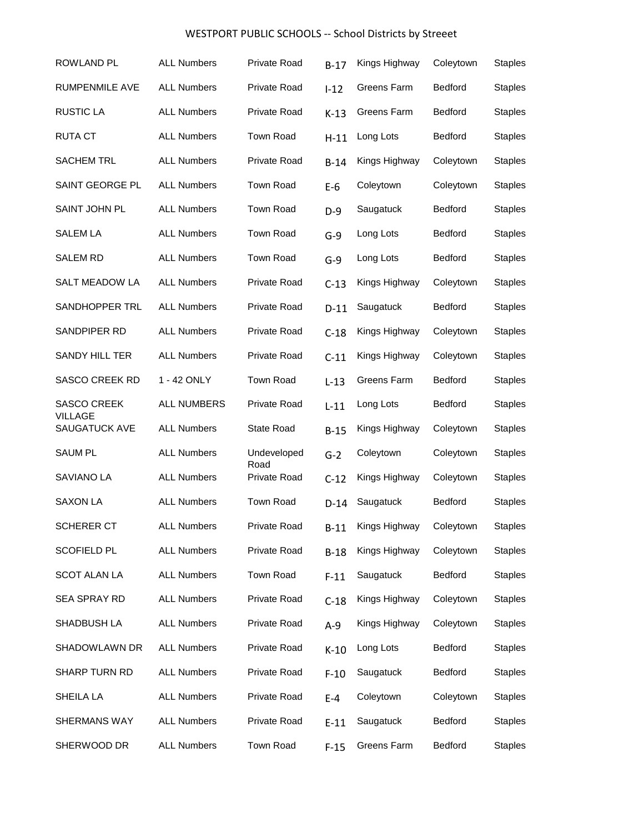| <b>ROWLAND PL</b>                    | <b>ALL Numbers</b> | Private Road        | $B-17$ | Kings Highway      | Coleytown      | <b>Staples</b> |
|--------------------------------------|--------------------|---------------------|--------|--------------------|----------------|----------------|
| RUMPENMILE AVE                       | <b>ALL Numbers</b> | <b>Private Road</b> | $-12$  | Greens Farm        | <b>Bedford</b> | <b>Staples</b> |
| <b>RUSTIC LA</b>                     | <b>ALL Numbers</b> | <b>Private Road</b> | $K-13$ | Greens Farm        | <b>Bedford</b> | <b>Staples</b> |
| RUTA CT                              | <b>ALL Numbers</b> | Town Road           | $H-11$ | Long Lots          | <b>Bedford</b> | <b>Staples</b> |
| <b>SACHEM TRL</b>                    | <b>ALL Numbers</b> | <b>Private Road</b> | $B-14$ | Kings Highway      | Coleytown      | <b>Staples</b> |
| SAINT GEORGE PL                      | <b>ALL Numbers</b> | Town Road           | $E-6$  | Coleytown          | Coleytown      | <b>Staples</b> |
| SAINT JOHN PL                        | <b>ALL Numbers</b> | Town Road           | $D-9$  | Saugatuck          | <b>Bedford</b> | <b>Staples</b> |
| <b>SALEM LA</b>                      | <b>ALL Numbers</b> | Town Road           | $G-9$  | Long Lots          | <b>Bedford</b> | <b>Staples</b> |
| <b>SALEM RD</b>                      | <b>ALL Numbers</b> | Town Road           | $G-9$  | Long Lots          | <b>Bedford</b> | <b>Staples</b> |
| SALT MEADOW LA                       | <b>ALL Numbers</b> | Private Road        | $C-13$ | Kings Highway      | Coleytown      | <b>Staples</b> |
| SANDHOPPER TRL                       | <b>ALL Numbers</b> | Private Road        | $D-11$ | Saugatuck          | <b>Bedford</b> | <b>Staples</b> |
| SANDPIPER RD                         | <b>ALL Numbers</b> | <b>Private Road</b> | $C-18$ | Kings Highway      | Coleytown      | <b>Staples</b> |
| <b>SANDY HILL TER</b>                | <b>ALL Numbers</b> | <b>Private Road</b> | $C-11$ | Kings Highway      | Coleytown      | <b>Staples</b> |
| <b>SASCO CREEK RD</b>                | 1 - 42 ONLY        | <b>Town Road</b>    | $L-13$ | Greens Farm        | <b>Bedford</b> | <b>Staples</b> |
| <b>SASCO CREEK</b><br><b>VILLAGE</b> | <b>ALL NUMBERS</b> | <b>Private Road</b> | $L-11$ | Long Lots          | Bedford        | <b>Staples</b> |
| SAUGATUCK AVE                        | <b>ALL Numbers</b> | State Road          | $B-15$ | Kings Highway      | Coleytown      | <b>Staples</b> |
| <b>SAUM PL</b>                       | <b>ALL Numbers</b> | Undeveloped<br>Road | $G-2$  | Coleytown          | Coleytown      | <b>Staples</b> |
| <b>SAVIANO LA</b>                    | <b>ALL Numbers</b> | <b>Private Road</b> | $C-12$ | Kings Highway      | Coleytown      | <b>Staples</b> |
| <b>SAXON LA</b>                      | <b>ALL Numbers</b> | Town Road           | $D-14$ | Saugatuck          | Bedford        | <b>Staples</b> |
| SCHERER CT                           | <b>ALL Numbers</b> | Private Road        |        | B-11 Kings Highway | Coleytown      | <b>Staples</b> |
| <b>SCOFIELD PL</b>                   | <b>ALL Numbers</b> | Private Road        | $B-18$ | Kings Highway      | Coleytown      | <b>Staples</b> |
| <b>SCOT ALAN LA</b>                  | <b>ALL Numbers</b> | Town Road           | $F-11$ | Saugatuck          | Bedford        | <b>Staples</b> |
| SEA SPRAY RD                         | <b>ALL Numbers</b> | Private Road        | $C-18$ | Kings Highway      | Coleytown      | <b>Staples</b> |
| SHADBUSH LA                          | <b>ALL Numbers</b> | Private Road        | A-9    | Kings Highway      | Coleytown      | <b>Staples</b> |
| SHADOWLAWN DR                        | <b>ALL Numbers</b> | Private Road        | $K-10$ | Long Lots          | Bedford        | <b>Staples</b> |
| SHARP TURN RD                        | <b>ALL Numbers</b> | Private Road        | $F-10$ | Saugatuck          | Bedford        | <b>Staples</b> |
| SHEILA LA                            | <b>ALL Numbers</b> | Private Road        | $E-4$  | Coleytown          | Coleytown      | <b>Staples</b> |
| SHERMANS WAY                         | <b>ALL Numbers</b> | Private Road        | $E-11$ | Saugatuck          | Bedford        | <b>Staples</b> |
| SHERWOOD DR                          | <b>ALL Numbers</b> | Town Road           | $F-15$ | Greens Farm        | Bedford        | <b>Staples</b> |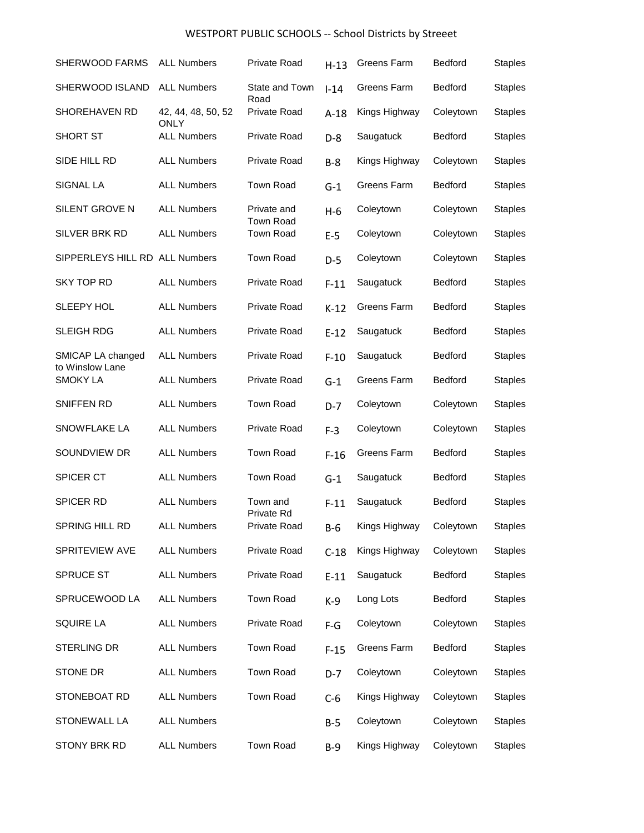| SHERWOOD FARMS                       | <b>ALL Numbers</b>         | <b>Private Road</b>             | $H-13$     | Greens Farm   | Bedford        | <b>Staples</b> |
|--------------------------------------|----------------------------|---------------------------------|------------|---------------|----------------|----------------|
| SHERWOOD ISLAND                      | <b>ALL Numbers</b>         | State and Town<br>Road          | $I-14$     | Greens Farm   | <b>Bedford</b> | <b>Staples</b> |
| SHOREHAVEN RD                        | 42, 44, 48, 50, 52<br>ONLY | <b>Private Road</b>             | $A-18$     | Kings Highway | Coleytown      | <b>Staples</b> |
| SHORT ST                             | <b>ALL Numbers</b>         | Private Road                    | $D-8$      | Saugatuck     | <b>Bedford</b> | <b>Staples</b> |
| SIDE HILL RD                         | <b>ALL Numbers</b>         | <b>Private Road</b>             | $B-8$      | Kings Highway | Coleytown      | <b>Staples</b> |
| SIGNAL LA                            | <b>ALL Numbers</b>         | <b>Town Road</b>                | $G-1$      | Greens Farm   | <b>Bedford</b> | <b>Staples</b> |
| SILENT GROVE N                       | <b>ALL Numbers</b>         | Private and<br><b>Town Road</b> | $H-6$      | Coleytown     | Coleytown      | <b>Staples</b> |
| SILVER BRK RD                        | <b>ALL Numbers</b>         | <b>Town Road</b>                | $E-5$      | Coleytown     | Coleytown      | <b>Staples</b> |
| SIPPERLEYS HILL RD ALL Numbers       |                            | Town Road                       | $D-5$      | Coleytown     | Coleytown      | <b>Staples</b> |
| SKY TOP RD                           | <b>ALL Numbers</b>         | Private Road                    | $F-11$     | Saugatuck     | <b>Bedford</b> | <b>Staples</b> |
| <b>SLEEPY HOL</b>                    | <b>ALL Numbers</b>         | Private Road                    | $K-12$     | Greens Farm   | Bedford        | <b>Staples</b> |
| <b>SLEIGH RDG</b>                    | <b>ALL Numbers</b>         | Private Road                    | $E-12$     | Saugatuck     | Bedford        | <b>Staples</b> |
| SMICAP LA changed<br>to Winslow Lane | <b>ALL Numbers</b>         | Private Road                    | $F-10$     | Saugatuck     | <b>Bedford</b> | <b>Staples</b> |
| <b>SMOKY LA</b>                      | <b>ALL Numbers</b>         | <b>Private Road</b>             | $G-1$      | Greens Farm   | <b>Bedford</b> | <b>Staples</b> |
| SNIFFEN RD                           | <b>ALL Numbers</b>         | <b>Town Road</b>                | $D-7$      | Coleytown     | Coleytown      | <b>Staples</b> |
| SNOWFLAKE LA                         | <b>ALL Numbers</b>         | <b>Private Road</b>             | $F-3$      | Coleytown     | Coleytown      | <b>Staples</b> |
| SOUNDVIEW DR                         | <b>ALL Numbers</b>         | <b>Town Road</b>                | $F-16$     | Greens Farm   | Bedford        | <b>Staples</b> |
| <b>SPICER CT</b>                     | <b>ALL Numbers</b>         | <b>Town Road</b>                | $G-1$      | Saugatuck     | Bedford        | <b>Staples</b> |
| <b>SPICER RD</b>                     | <b>ALL Numbers</b>         | Town and<br>Private Rd          | $F-11$     | Saugatuck     | Bedford        | <b>Staples</b> |
| SPRING HILL RD                       | <b>ALL Numbers</b>         | Private Road                    | <b>B-6</b> | Kings Highway | Coleytown      | <b>Staples</b> |
| SPRITEVIEW AVE                       | <b>ALL Numbers</b>         | Private Road                    | $C-18$     | Kings Highway | Coleytown      | <b>Staples</b> |
| SPRUCE ST                            | <b>ALL Numbers</b>         | Private Road                    | $E-11$     | Saugatuck     | Bedford        | <b>Staples</b> |
| SPRUCEWOOD LA                        | <b>ALL Numbers</b>         | Town Road                       | $K-9$      | Long Lots     | Bedford        | <b>Staples</b> |
| <b>SQUIRE LA</b>                     | <b>ALL Numbers</b>         | Private Road                    | $F-G$      | Coleytown     | Coleytown      | <b>Staples</b> |
| STERLING DR                          | <b>ALL Numbers</b>         | Town Road                       | $F-15$     | Greens Farm   | Bedford        | <b>Staples</b> |
| STONE DR                             | <b>ALL Numbers</b>         | Town Road                       | $D-7$      | Coleytown     | Coleytown      | <b>Staples</b> |
| STONEBOAT RD                         | <b>ALL Numbers</b>         | Town Road                       | $C-6$      | Kings Highway | Coleytown      | <b>Staples</b> |
| STONEWALL LA                         | <b>ALL Numbers</b>         |                                 | $B-5$      | Coleytown     | Coleytown      | <b>Staples</b> |
| STONY BRK RD                         | <b>ALL Numbers</b>         | Town Road                       | $B-9$      | Kings Highway | Coleytown      | <b>Staples</b> |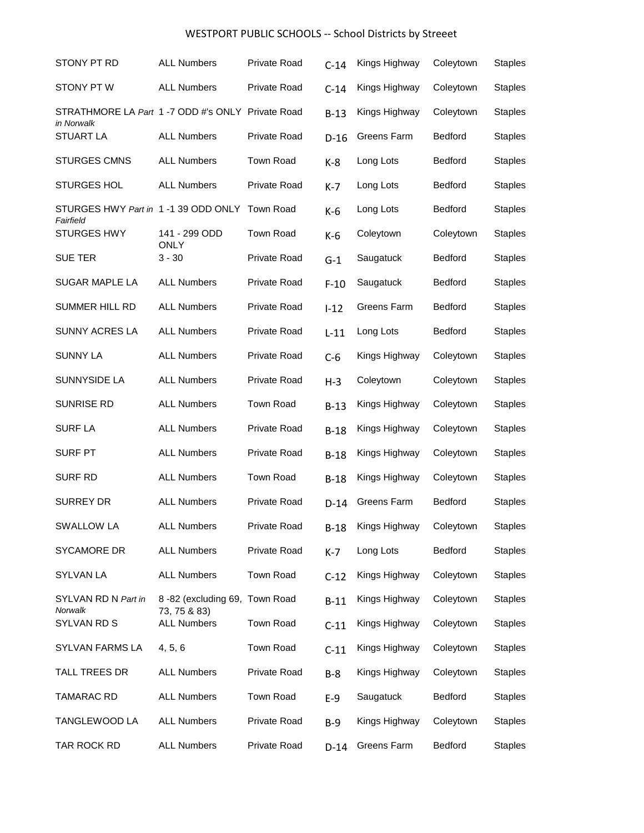| STONY PT RD                                                     | <b>ALL Numbers</b>                            | <b>Private Road</b> | $C-14$ | Kings Highway | Coleytown      | <b>Staples</b> |
|-----------------------------------------------------------------|-----------------------------------------------|---------------------|--------|---------------|----------------|----------------|
| STONY PT W                                                      | <b>ALL Numbers</b>                            | <b>Private Road</b> | $C-14$ | Kings Highway | Coleytown      | <b>Staples</b> |
| STRATHMORE LA Part 1 -7 ODD #'s ONLY Private Road<br>in Norwalk |                                               |                     | $B-13$ | Kings Highway | Coleytown      | <b>Staples</b> |
| <b>STUART LA</b>                                                | <b>ALL Numbers</b>                            | <b>Private Road</b> | $D-16$ | Greens Farm   | <b>Bedford</b> | <b>Staples</b> |
| <b>STURGES CMNS</b>                                             | <b>ALL Numbers</b>                            | <b>Town Road</b>    | $K-8$  | Long Lots     | <b>Bedford</b> | <b>Staples</b> |
| STURGES HOL                                                     | <b>ALL Numbers</b>                            | Private Road        | $K-7$  | Long Lots     | <b>Bedford</b> | <b>Staples</b> |
| STURGES HWY Part in 1-1 39 ODD ONLY<br>Fairfield                |                                               | <b>Town Road</b>    | K-6    | Long Lots     | <b>Bedford</b> | <b>Staples</b> |
| <b>STURGES HWY</b>                                              | 141 - 299 ODD<br><b>ONLY</b>                  | <b>Town Road</b>    | $K-6$  | Coleytown     | Coleytown      | <b>Staples</b> |
| <b>SUE TER</b>                                                  | $3 - 30$                                      | Private Road        | $G-1$  | Saugatuck     | <b>Bedford</b> | <b>Staples</b> |
| <b>SUGAR MAPLE LA</b>                                           | <b>ALL Numbers</b>                            | <b>Private Road</b> | $F-10$ | Saugatuck     | Bedford        | <b>Staples</b> |
| <b>SUMMER HILL RD</b>                                           | <b>ALL Numbers</b>                            | <b>Private Road</b> | $I-12$ | Greens Farm   | <b>Bedford</b> | <b>Staples</b> |
| <b>SUNNY ACRES LA</b>                                           | <b>ALL Numbers</b>                            | <b>Private Road</b> | $L-11$ | Long Lots     | <b>Bedford</b> | <b>Staples</b> |
| <b>SUNNY LA</b>                                                 | <b>ALL Numbers</b>                            | <b>Private Road</b> | $C-6$  | Kings Highway | Coleytown      | <b>Staples</b> |
| SUNNYSIDE LA                                                    | <b>ALL Numbers</b>                            | <b>Private Road</b> | $H-3$  | Coleytown     | Coleytown      | <b>Staples</b> |
| <b>SUNRISE RD</b>                                               | <b>ALL Numbers</b>                            | <b>Town Road</b>    | $B-13$ | Kings Highway | Coleytown      | <b>Staples</b> |
| <b>SURF LA</b>                                                  | <b>ALL Numbers</b>                            | <b>Private Road</b> | $B-18$ | Kings Highway | Coleytown      | <b>Staples</b> |
| <b>SURF PT</b>                                                  | <b>ALL Numbers</b>                            | <b>Private Road</b> | $B-18$ | Kings Highway | Coleytown      | <b>Staples</b> |
| <b>SURF RD</b>                                                  | <b>ALL Numbers</b>                            | <b>Town Road</b>    | $B-18$ | Kings Highway | Coleytown      | <b>Staples</b> |
| <b>SURREY DR</b>                                                | <b>ALL Numbers</b>                            | Private Road        | $D-14$ | Greens Farm   | <b>Bedford</b> | <b>Staples</b> |
| SWALLOW LA                                                      | <b>ALL Numbers</b>                            | Private Road        | $B-18$ | Kings Highway | Coleytown      | <b>Staples</b> |
| SYCAMORE DR                                                     | <b>ALL Numbers</b>                            | Private Road        | $K-7$  | Long Lots     | Bedford        | <b>Staples</b> |
| SYLVAN LA                                                       | <b>ALL Numbers</b>                            | Town Road           | $C-12$ | Kings Highway | Coleytown      | <b>Staples</b> |
| SYLVAN RD N Part in<br>Norwalk                                  | 8-82 (excluding 69, Town Road<br>73, 75 & 83) |                     | $B-11$ | Kings Highway | Coleytown      | <b>Staples</b> |
| SYLVAN RD S                                                     | <b>ALL Numbers</b>                            | Town Road           | $C-11$ | Kings Highway | Coleytown      | <b>Staples</b> |
| SYLVAN FARMS LA                                                 | 4, 5, 6                                       | Town Road           | $C-11$ | Kings Highway | Coleytown      | <b>Staples</b> |
| TALL TREES DR                                                   | <b>ALL Numbers</b>                            | Private Road        | $B-8$  | Kings Highway | Coleytown      | <b>Staples</b> |
| <b>TAMARAC RD</b>                                               | <b>ALL Numbers</b>                            | Town Road           | $E-9$  | Saugatuck     | Bedford        | <b>Staples</b> |
| TANGLEWOOD LA                                                   | <b>ALL Numbers</b>                            | Private Road        | $B-9$  | Kings Highway | Coleytown      | <b>Staples</b> |
| TAR ROCK RD                                                     | <b>ALL Numbers</b>                            | Private Road        | $D-14$ | Greens Farm   | Bedford        | <b>Staples</b> |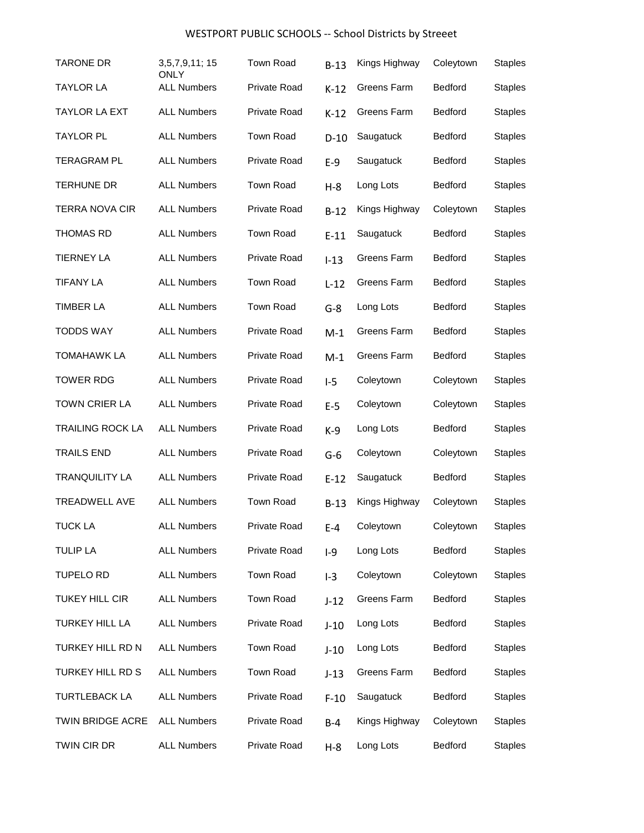| <b>TARONE DR</b>        | 3,5,7,9,11; 15<br>ONLY | <b>Town Road</b>    | $B-13$ | Kings Highway | Coleytown      | <b>Staples</b> |
|-------------------------|------------------------|---------------------|--------|---------------|----------------|----------------|
| <b>TAYLOR LA</b>        | <b>ALL Numbers</b>     | <b>Private Road</b> | $K-12$ | Greens Farm   | <b>Bedford</b> | <b>Staples</b> |
| TAYLOR LA EXT           | <b>ALL Numbers</b>     | <b>Private Road</b> | $K-12$ | Greens Farm   | Bedford        | <b>Staples</b> |
| TAYLOR PL               | <b>ALL Numbers</b>     | <b>Town Road</b>    | $D-10$ | Saugatuck     | Bedford        | <b>Staples</b> |
| <b>TERAGRAM PL</b>      | <b>ALL Numbers</b>     | Private Road        | $E-9$  | Saugatuck     | Bedford        | <b>Staples</b> |
| TERHUNE DR              | <b>ALL Numbers</b>     | Town Road           | $H-8$  | Long Lots     | <b>Bedford</b> | <b>Staples</b> |
| TERRA NOVA CIR          | <b>ALL Numbers</b>     | Private Road        | $B-12$ | Kings Highway | Coleytown      | <b>Staples</b> |
| THOMAS RD               | <b>ALL Numbers</b>     | <b>Town Road</b>    | $E-11$ | Saugatuck     | Bedford        | <b>Staples</b> |
| <b>TIERNEY LA</b>       | <b>ALL Numbers</b>     | Private Road        | $I-13$ | Greens Farm   | <b>Bedford</b> | <b>Staples</b> |
| <b>TIFANY LA</b>        | <b>ALL Numbers</b>     | Town Road           | $L-12$ | Greens Farm   | <b>Bedford</b> | <b>Staples</b> |
| <b>TIMBER LA</b>        | <b>ALL Numbers</b>     | <b>Town Road</b>    | $G-8$  | Long Lots     | Bedford        | <b>Staples</b> |
| <b>TODDS WAY</b>        | <b>ALL Numbers</b>     | <b>Private Road</b> | $M-1$  | Greens Farm   | <b>Bedford</b> | <b>Staples</b> |
| <b>TOMAHAWK LA</b>      | <b>ALL Numbers</b>     | Private Road        | $M-1$  | Greens Farm   | Bedford        | <b>Staples</b> |
| <b>TOWER RDG</b>        | <b>ALL Numbers</b>     | Private Road        | $I-5$  | Coleytown     | Coleytown      | <b>Staples</b> |
| <b>TOWN CRIER LA</b>    | <b>ALL Numbers</b>     | <b>Private Road</b> | $E-5$  | Coleytown     | Coleytown      | <b>Staples</b> |
| <b>TRAILING ROCK LA</b> | <b>ALL Numbers</b>     | <b>Private Road</b> | $K-9$  | Long Lots     | <b>Bedford</b> | <b>Staples</b> |
| <b>TRAILS END</b>       | <b>ALL Numbers</b>     | <b>Private Road</b> | $G-6$  | Coleytown     | Coleytown      | <b>Staples</b> |
| <b>TRANQUILITY LA</b>   | <b>ALL Numbers</b>     | <b>Private Road</b> | $E-12$ | Saugatuck     | Bedford        | <b>Staples</b> |
| <b>TREADWELL AVE</b>    | <b>ALL Numbers</b>     | Town Road           | $B-13$ | Kings Highway | Coleytown      | <b>Staples</b> |
| <b>TUCK LA</b>          | <b>ALL Numbers</b>     | Private Road        | $E-4$  | Coleytown     | Coleytown      | <b>Staples</b> |
| <b>TULIP LA</b>         | <b>ALL Numbers</b>     | Private Road        | $I-9$  | Long Lots     | Bedford        | <b>Staples</b> |
| <b>TUPELO RD</b>        | <b>ALL Numbers</b>     | Town Road           | $I-3$  | Coleytown     | Coleytown      | <b>Staples</b> |
| TUKEY HILL CIR          | <b>ALL Numbers</b>     | Town Road           | $J-12$ | Greens Farm   | Bedford        | <b>Staples</b> |
| <b>TURKEY HILL LA</b>   | <b>ALL Numbers</b>     | Private Road        | $J-10$ | Long Lots     | Bedford        | <b>Staples</b> |
| TURKEY HILL RD N        | <b>ALL Numbers</b>     | Town Road           | $J-10$ | Long Lots     | Bedford        | <b>Staples</b> |
| TURKEY HILL RD S        | <b>ALL Numbers</b>     | Town Road           | $J-13$ | Greens Farm   | Bedford        | <b>Staples</b> |
| <b>TURTLEBACK LA</b>    | <b>ALL Numbers</b>     | Private Road        | $F-10$ | Saugatuck     | Bedford        | <b>Staples</b> |
| TWIN BRIDGE ACRE        | <b>ALL Numbers</b>     | Private Road        | $B-4$  | Kings Highway | Coleytown      | <b>Staples</b> |
| TWIN CIR DR             | <b>ALL Numbers</b>     | Private Road        | $H-8$  | Long Lots     | Bedford        | <b>Staples</b> |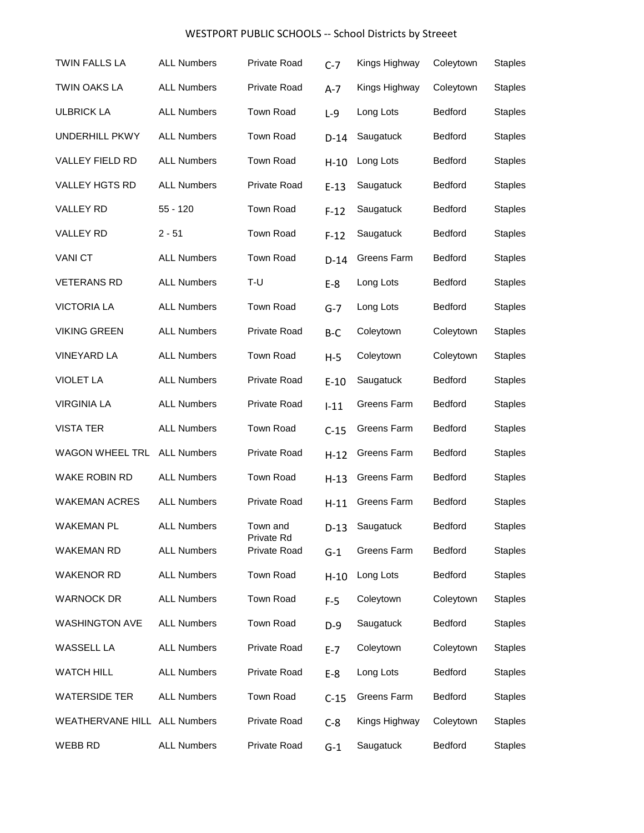| TWIN FALLS LA                       | <b>ALL Numbers</b> | <b>Private Road</b>    | $C-7$   | Kings Highway | Coleytown      | <b>Staples</b> |
|-------------------------------------|--------------------|------------------------|---------|---------------|----------------|----------------|
| <b>TWIN OAKS LA</b>                 | <b>ALL Numbers</b> | <b>Private Road</b>    | $A-7$   | Kings Highway | Coleytown      | <b>Staples</b> |
| ULBRICK LA                          | <b>ALL Numbers</b> | Town Road              | $L-9$   | Long Lots     | <b>Bedford</b> | <b>Staples</b> |
| UNDERHILL PKWY                      | <b>ALL Numbers</b> | <b>Town Road</b>       | $D-14$  | Saugatuck     | <b>Bedford</b> | <b>Staples</b> |
| VALLEY FIELD RD                     | <b>ALL Numbers</b> | <b>Town Road</b>       | $H-10$  | Long Lots     | <b>Bedford</b> | <b>Staples</b> |
| VALLEY HGTS RD                      | <b>ALL Numbers</b> | <b>Private Road</b>    | $E-13$  | Saugatuck     | Bedford        | <b>Staples</b> |
| VALLEY RD                           | $55 - 120$         | Town Road              | $F-12$  | Saugatuck     | <b>Bedford</b> | <b>Staples</b> |
| VALLEY RD                           | $2 - 51$           | Town Road              | $F-12$  | Saugatuck     | <b>Bedford</b> | <b>Staples</b> |
| <b>VANI CT</b>                      | <b>ALL Numbers</b> | Town Road              | $D-14$  | Greens Farm   | <b>Bedford</b> | <b>Staples</b> |
| <b>VETERANS RD</b>                  | <b>ALL Numbers</b> | T-U                    | $E-8$   | Long Lots     | <b>Bedford</b> | <b>Staples</b> |
| <b>VICTORIA LA</b>                  | <b>ALL Numbers</b> | <b>Town Road</b>       | $G-7$   | Long Lots     | <b>Bedford</b> | <b>Staples</b> |
| <b>VIKING GREEN</b>                 | <b>ALL Numbers</b> | <b>Private Road</b>    | B-C     | Coleytown     | Coleytown      | <b>Staples</b> |
| <b>VINEYARD LA</b>                  | <b>ALL Numbers</b> | Town Road              | $H-5$   | Coleytown     | Coleytown      | <b>Staples</b> |
| <b>VIOLET LA</b>                    | <b>ALL Numbers</b> | <b>Private Road</b>    | $E-10$  | Saugatuck     | <b>Bedford</b> | <b>Staples</b> |
| <b>VIRGINIA LA</b>                  | <b>ALL Numbers</b> | <b>Private Road</b>    | $I-11$  | Greens Farm   | <b>Bedford</b> | <b>Staples</b> |
| <b>VISTA TER</b>                    | <b>ALL Numbers</b> | Town Road              | $C-15$  | Greens Farm   | <b>Bedford</b> | <b>Staples</b> |
| <b>WAGON WHEEL TRL</b>              | <b>ALL Numbers</b> | <b>Private Road</b>    | $H-12$  | Greens Farm   | <b>Bedford</b> | <b>Staples</b> |
| WAKE ROBIN RD                       | <b>ALL Numbers</b> | Town Road              | $H-13$  | Greens Farm   | <b>Bedford</b> | <b>Staples</b> |
| <b>WAKEMAN ACRES</b>                | <b>ALL Numbers</b> | Private Road           | $H-11$  | Greens Farm   | Bedford        | <b>Staples</b> |
| <b>WAKEMAN PL</b>                   | <b>ALL Numbers</b> | Town and<br>Private Rd | $D-13$  | Saugatuck     | Bedford        | <b>Staples</b> |
| <b>WAKEMAN RD</b>                   | <b>ALL Numbers</b> | Private Road           | $G-1$   | Greens Farm   | Bedford        | <b>Staples</b> |
| <b>WAKENOR RD</b>                   | <b>ALL Numbers</b> | Town Road              | $H-10$  | Long Lots     | <b>Bedford</b> | <b>Staples</b> |
| <b>WARNOCK DR</b>                   | <b>ALL Numbers</b> | Town Road              | $F-5$   | Coleytown     | Coleytown      | <b>Staples</b> |
| <b>WASHINGTON AVE</b>               | <b>ALL Numbers</b> | Town Road              | $D-9$   | Saugatuck     | Bedford        | <b>Staples</b> |
| WASSELL LA                          | <b>ALL Numbers</b> | Private Road           | $E - 7$ | Coleytown     | Coleytown      | <b>Staples</b> |
| <b>WATCH HILL</b>                   | <b>ALL Numbers</b> | Private Road           | $E-8$   | Long Lots     | Bedford        | <b>Staples</b> |
| <b>WATERSIDE TER</b>                | <b>ALL Numbers</b> | Town Road              | $C-15$  | Greens Farm   | Bedford        | <b>Staples</b> |
| <b>WEATHERVANE HILL ALL Numbers</b> |                    | Private Road           | $C-8$   | Kings Highway | Coleytown      | <b>Staples</b> |
| <b>WEBB RD</b>                      | <b>ALL Numbers</b> | Private Road           | $G-1$   | Saugatuck     | Bedford        | <b>Staples</b> |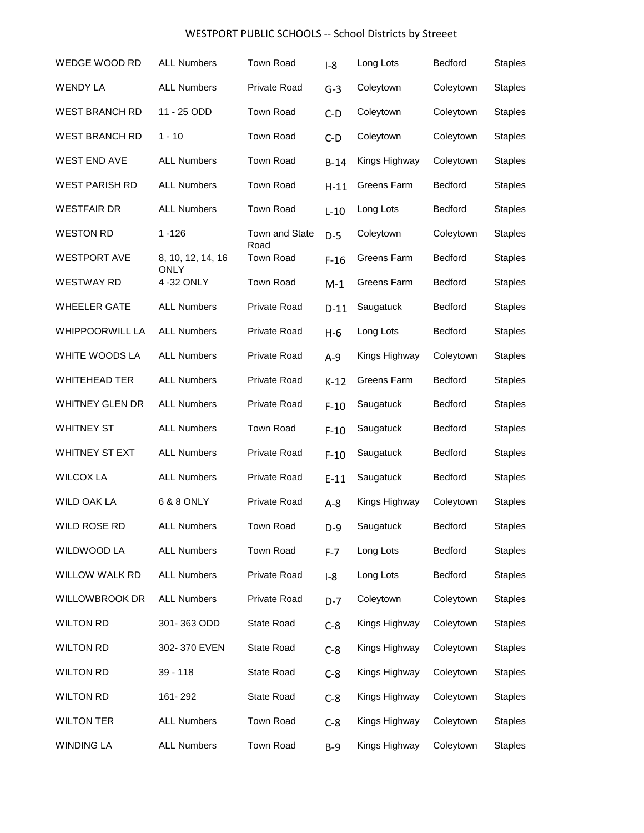| WEDGE WOOD RD          | <b>ALL Numbers</b>        | <b>Town Road</b>       | $I-8$   | Long Lots     | <b>Bedford</b> | <b>Staples</b> |
|------------------------|---------------------------|------------------------|---------|---------------|----------------|----------------|
| WENDY LA               | <b>ALL Numbers</b>        | <b>Private Road</b>    | $G-3$   | Coleytown     | Coleytown      | <b>Staples</b> |
| <b>WEST BRANCH RD</b>  | 11 - 25 ODD               | <b>Town Road</b>       | $C-D$   | Coleytown     | Coleytown      | <b>Staples</b> |
| <b>WEST BRANCH RD</b>  | $1 - 10$                  | Town Road              | $C-D$   | Coleytown     | Coleytown      | <b>Staples</b> |
| <b>WEST END AVE</b>    | <b>ALL Numbers</b>        | Town Road              | $B-14$  | Kings Highway | Coleytown      | <b>Staples</b> |
| <b>WEST PARISH RD</b>  | <b>ALL Numbers</b>        | <b>Town Road</b>       | $H-11$  | Greens Farm   | Bedford        | <b>Staples</b> |
| <b>WESTFAIR DR</b>     | <b>ALL Numbers</b>        | Town Road              | $L-10$  | Long Lots     | Bedford        | <b>Staples</b> |
| <b>WESTON RD</b>       | $1 - 126$                 | Town and State<br>Road | $D-5$   | Coleytown     | Coleytown      | <b>Staples</b> |
| <b>WESTPORT AVE</b>    | 8, 10, 12, 14, 16<br>ONLY | Town Road              | $F-16$  | Greens Farm   | <b>Bedford</b> | <b>Staples</b> |
| <b>WESTWAY RD</b>      | 4 -32 ONLY                | <b>Town Road</b>       | $M-1$   | Greens Farm   | <b>Bedford</b> | <b>Staples</b> |
| <b>WHEELER GATE</b>    | <b>ALL Numbers</b>        | <b>Private Road</b>    | $D-11$  | Saugatuck     | Bedford        | <b>Staples</b> |
| <b>WHIPPOORWILL LA</b> | <b>ALL Numbers</b>        | Private Road           | $H-6$   | Long Lots     | <b>Bedford</b> | <b>Staples</b> |
| WHITE WOODS LA         | <b>ALL Numbers</b>        | <b>Private Road</b>    | $A-9$   | Kings Highway | Coleytown      | <b>Staples</b> |
| <b>WHITEHEAD TER</b>   | <b>ALL Numbers</b>        | <b>Private Road</b>    | $K-12$  | Greens Farm   | Bedford        | <b>Staples</b> |
| <b>WHITNEY GLEN DR</b> | <b>ALL Numbers</b>        | <b>Private Road</b>    | $F-10$  | Saugatuck     | <b>Bedford</b> | <b>Staples</b> |
| <b>WHITNEY ST</b>      | <b>ALL Numbers</b>        | Town Road              | $F-10$  | Saugatuck     | <b>Bedford</b> | <b>Staples</b> |
| <b>WHITNEY ST EXT</b>  | <b>ALL Numbers</b>        | <b>Private Road</b>    | $F-10$  | Saugatuck     | Bedford        | <b>Staples</b> |
| <b>WILCOX LA</b>       | <b>ALL Numbers</b>        | <b>Private Road</b>    | $E-11$  | Saugatuck     | <b>Bedford</b> | <b>Staples</b> |
| WILD OAK LA            | 6 & 8 ONLY                | <b>Private Road</b>    | $A-8$   | Kings Highway | Coleytown      | <b>Staples</b> |
| WILD ROSE RD           | <b>ALL Numbers</b>        | Town Road              | $D-9$   | Saugatuck     | Bedford        | <b>Staples</b> |
| WILDWOOD LA            | <b>ALL Numbers</b>        | Town Road              | $F - 7$ | Long Lots     | Bedford        | <b>Staples</b> |
| WILLOW WALK RD         | <b>ALL Numbers</b>        | Private Road           | $I-8$   | Long Lots     | Bedford        | <b>Staples</b> |
| <b>WILLOWBROOK DR</b>  | <b>ALL Numbers</b>        | Private Road           | $D-7$   | Coleytown     | Coleytown      | <b>Staples</b> |
| <b>WILTON RD</b>       | 301-363 ODD               | State Road             | $C-8$   | Kings Highway | Coleytown      | <b>Staples</b> |
| <b>WILTON RD</b>       | 302-370 EVEN              | State Road             | $C-8$   | Kings Highway | Coleytown      | <b>Staples</b> |
| <b>WILTON RD</b>       | $39 - 118$                | State Road             | $C-8$   | Kings Highway | Coleytown      | <b>Staples</b> |
| <b>WILTON RD</b>       | 161-292                   | State Road             | $C-8$   | Kings Highway | Coleytown      | <b>Staples</b> |
| <b>WILTON TER</b>      | <b>ALL Numbers</b>        | Town Road              | $C-8$   | Kings Highway | Coleytown      | <b>Staples</b> |
| <b>WINDING LA</b>      | <b>ALL Numbers</b>        | Town Road              | $B-9$   | Kings Highway | Coleytown      | <b>Staples</b> |